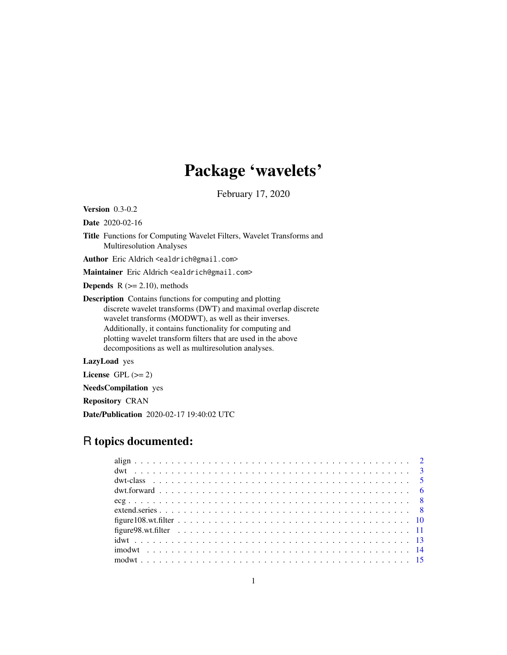# Package 'wavelets'

February 17, 2020

Version 0.3-0.2

Date 2020-02-16

Title Functions for Computing Wavelet Filters, Wavelet Transforms and Multiresolution Analyses

Author Eric Aldrich <ealdrich@gmail.com>

Maintainer Eric Aldrich <ealdrich@gmail.com>

**Depends**  $R$  ( $>= 2.10$ ), methods

Description Contains functions for computing and plotting discrete wavelet transforms (DWT) and maximal overlap discrete wavelet transforms (MODWT), as well as their inverses. Additionally, it contains functionality for computing and plotting wavelet transform filters that are used in the above decompositions as well as multiresolution analyses.

LazyLoad yes

License GPL  $(>= 2)$ 

NeedsCompilation yes

Repository CRAN

Date/Publication 2020-02-17 19:40:02 UTC

# R topics documented: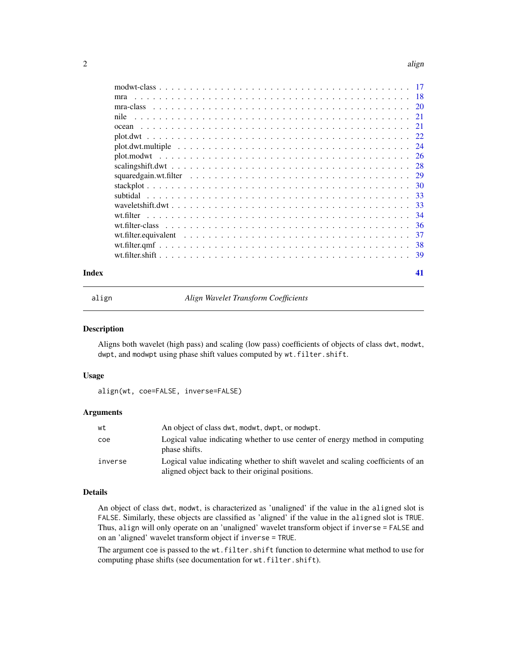#### <span id="page-1-0"></span> $2<sup>2</sup>$

|       | mra  |    |
|-------|------|----|
|       |      |    |
|       | nile |    |
|       |      |    |
|       |      |    |
|       |      |    |
|       |      |    |
|       |      |    |
|       |      |    |
|       |      |    |
|       |      |    |
|       |      |    |
|       |      |    |
|       |      |    |
|       |      |    |
|       |      |    |
|       |      |    |
| Index |      | 41 |

<span id="page-1-1"></span>

align *Align Wavelet Transform Coefficients*

#### Description

Aligns both wavelet (high pass) and scaling (low pass) coefficients of objects of class dwt, modwt, dwpt, and modwpt using phase shift values computed by wt.filter.shift.

#### Usage

align(wt, coe=FALSE, inverse=FALSE)

# Arguments

| wt      | An object of class dwt, modwt, dwpt, or modwpt.                                                                                      |
|---------|--------------------------------------------------------------------------------------------------------------------------------------|
| coe     | Logical value indicating whether to use center of energy method in computing<br>phase shifts.                                        |
| inverse | Logical value indicating whether to shift wavelet and scaling coefficients of an<br>aligned object back to their original positions. |

# Details

An object of class dwt, modwt, is characterized as 'unaligned' if the value in the aligned slot is FALSE. Similarly, these objects are classified as 'aligned' if the value in the aligned slot is TRUE. Thus, align will only operate on an 'unaligned' wavelet transform object if inverse = FALSE and on an 'aligned' wavelet transform object if inverse = TRUE.

The argument coe is passed to the wt.filter.shift function to determine what method to use for computing phase shifts (see documentation for wt.filter.shift).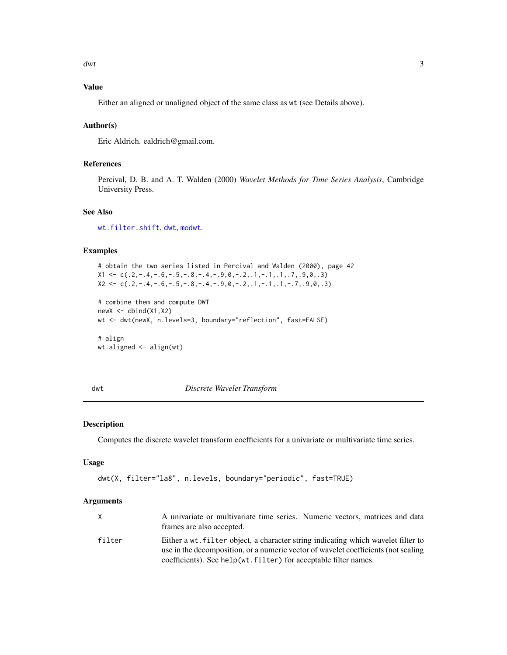<span id="page-2-0"></span> $dwt$  3

# Value

Either an aligned or unaligned object of the same class as wt (see Details above).

# Author(s)

Eric Aldrich. ealdrich@gmail.com.

# References

Percival, D. B. and A. T. Walden (2000) *Wavelet Methods for Time Series Analysis*, Cambridge University Press.

# See Also

[wt.filter.shift](#page-38-1), [dwt](#page-2-1), [modwt](#page-14-1).

# Examples

# obtain the two series listed in Percival and Walden (2000), page 42  $X1 \leftarrow c(.2,-.4,-.6,-.5,-.8,-.4,-.9,0,-.2,.1,-.1,.1,.7,.9,0,.3)$  $X2 \leq c \leq C(.2,-.4,-.6,-.5,-.8,-.4,-.9,0,-.2,1,-.1,1,-.7,0,0,.3)$ 

```
# combine them and compute DWT
newX \leftarrow \text{cbind}(X1, X2)wt <- dwt(newX, n.levels=3, boundary="reflection", fast=FALSE)
# align
```
wt.aligned <- align(wt)

<span id="page-2-1"></span>dwt *Discrete Wavelet Transform*

# Description

Computes the discrete wavelet transform coefficients for a univariate or multivariate time series.

#### Usage

```
dwt(X, filter="la8", n.levels, boundary="periodic", fast=TRUE)
```

|        | A univariate or multivariate time series. Numeric vectors, matrices and data       |
|--------|------------------------------------------------------------------------------------|
|        | frames are also accepted.                                                          |
| filter | Either a wt. filter object, a character string indicating which wavelet filter to  |
|        | use in the decomposition, or a numeric vector of wavelet coefficients (not scaling |
|        | coefficients). See help(wt.filter) for acceptable filter names.                    |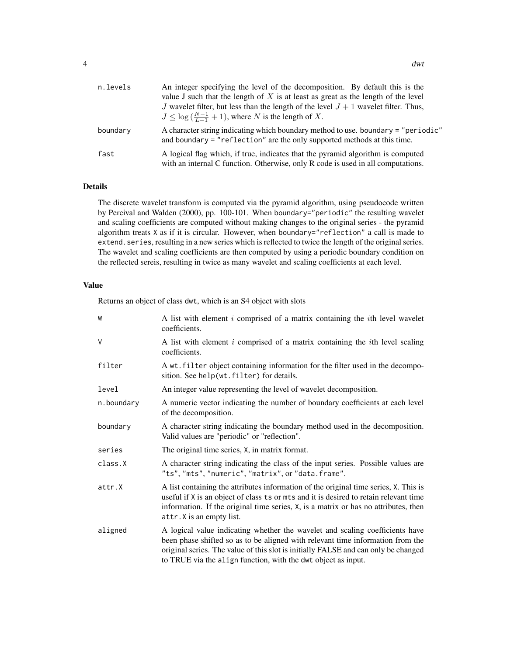| n.levels | An integer specifying the level of the decomposition. By default this is the<br>value J such that the length of $X$ is at least as great as the length of the level<br>J wavelet filter, but less than the length of the level $J + 1$ wavelet filter. Thus, |
|----------|--------------------------------------------------------------------------------------------------------------------------------------------------------------------------------------------------------------------------------------------------------------|
|          | $J \leq \log(\frac{N-1}{L-1}+1)$ , where N is the length of X.                                                                                                                                                                                               |
| boundary | A character string indicating which boundary method to use. boundary = "periodic"<br>and boundary $=$ "reflection" are the only supported methods at this time.                                                                                              |
| fast     | A logical flag which, if true, indicates that the pyramid algorithm is computed<br>with an internal C function. Otherwise, only R code is used in all computations.                                                                                          |

# Details

The discrete wavelet transform is computed via the pyramid algorithm, using pseudocode written by Percival and Walden (2000), pp. 100-101. When boundary="periodic" the resulting wavelet and scaling coefficients are computed without making changes to the original series - the pyramid algorithm treats X as if it is circular. However, when boundary="reflection" a call is made to extend. series, resulting in a new series which is reflected to twice the length of the original series. The wavelet and scaling coefficients are then computed by using a periodic boundary condition on the reflected sereis, resulting in twice as many wavelet and scaling coefficients at each level.

# Value

Returns an object of class dwt, which is an S4 object with slots

| W          | A list with element $i$ comprised of a matrix containing the $i$ th level wavelet<br>coefficients.                                                                                                                                                                                                                    |
|------------|-----------------------------------------------------------------------------------------------------------------------------------------------------------------------------------------------------------------------------------------------------------------------------------------------------------------------|
| $\vee$     | A list with element i comprised of a matrix containing the <i>i</i> th level scaling<br>coefficients.                                                                                                                                                                                                                 |
| filter     | A wt. filter object containing information for the filter used in the decompo-<br>sition. See help(wt.filter) for details.                                                                                                                                                                                            |
| level      | An integer value representing the level of wavelet decomposition.                                                                                                                                                                                                                                                     |
| n.boundary | A numeric vector indicating the number of boundary coefficients at each level<br>of the decomposition.                                                                                                                                                                                                                |
| boundary   | A character string indicating the boundary method used in the decomposition.<br>Valid values are "periodic" or "reflection".                                                                                                                                                                                          |
| series     | The original time series, X, in matrix format.                                                                                                                                                                                                                                                                        |
| class.X    | A character string indicating the class of the input series. Possible values are<br>"ts", "mts", "numeric", "matrix", or "data.frame".                                                                                                                                                                                |
| attr.X     | A list containing the attributes information of the original time series, X. This is<br>useful if X is an object of class ts or mts and it is desired to retain relevant time<br>information. If the original time series, X, is a matrix or has no attributes, then<br>attr. X is an empty list.                     |
| aligned    | A logical value indicating whether the wavelet and scaling coefficients have<br>been phase shifted so as to be aligned with relevant time information from the<br>original series. The value of this slot is initially FALSE and can only be changed<br>to TRUE via the align function, with the dwt object as input. |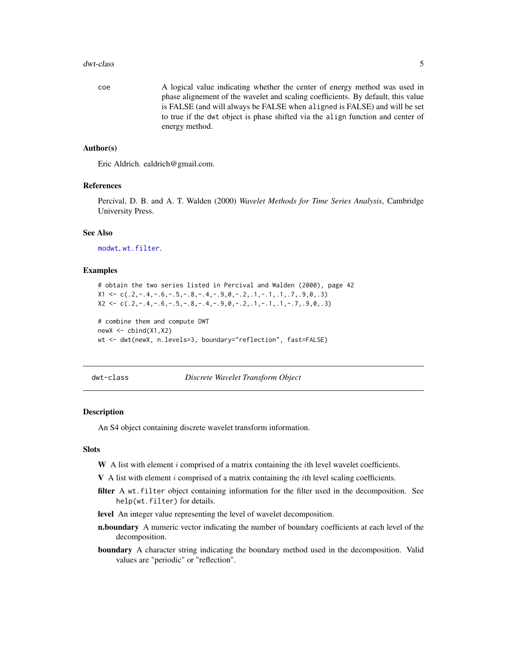#### <span id="page-4-0"></span>dwt-class 5

coe A logical value indicating whether the center of energy method was used in phase alignement of the wavelet and scaling coefficients. By default, this value is FALSE (and will always be FALSE when aligned is FALSE) and will be set to true if the dwt object is phase shifted via the align function and center of energy method.

#### Author(s)

Eric Aldrich. ealdrich@gmail.com.

# References

Percival, D. B. and A. T. Walden (2000) *Wavelet Methods for Time Series Analysis*, Cambridge University Press.

# See Also

[modwt](#page-14-1), [wt.filter](#page-33-1).

# Examples

```
# obtain the two series listed in Percival and Walden (2000), page 42
X1 \leftarrow c(.2,-.4,-.6,-.5,-.8,-.4,-.9,0,-.2,1,-.1,1,.7,.9,0,.3)X2 \leq c \leq C(.2,-.4,-.6,-.5,-.8,-.4,-.9,0,-.2,1,-.1,1,-.7,0,0,0,3)
```

```
# combine them and compute DWT
newX \leftarrow \text{cbind}(X1, X2)wt <- dwt(newX, n.levels=3, boundary="reflection", fast=FALSE)
```
<span id="page-4-1"></span>dwt-class *Discrete Wavelet Transform Object*

#### Description

An S4 object containing discrete wavelet transform information.

#### **Slots**

- W A list with element  $i$  comprised of a matrix containing the  $i$ th level wavelet coefficients.
- $V$  A list with element i comprised of a matrix containing the ith level scaling coefficients.
- filter A wt.filter object containing information for the filter used in the decomposition. See help(wt.filter) for details.
- level An integer value representing the level of wavelet decomposition.
- n.boundary A numeric vector indicating the number of boundary coefficients at each level of the decomposition.
- boundary A character string indicating the boundary method used in the decomposition. Valid values are "periodic" or "reflection".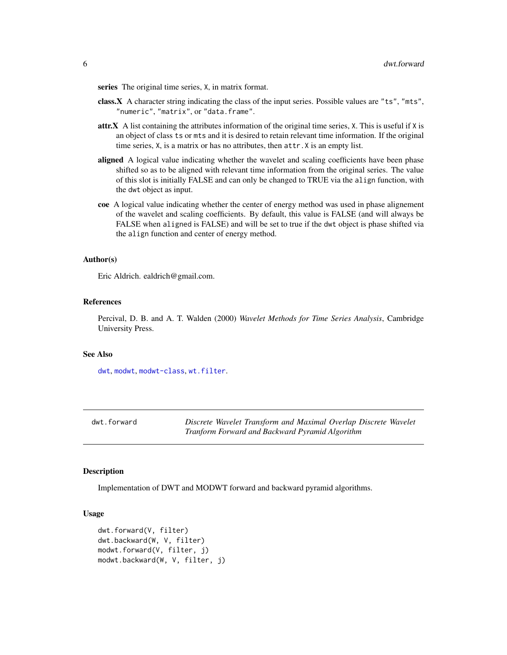<span id="page-5-0"></span>series The original time series, X, in matrix format.

- class.X A character string indicating the class of the input series. Possible values are "ts", "mts", "numeric", "matrix", or "data.frame".
- attr.X A list containing the attributes information of the original time series, X. This is useful if X is an object of class ts or mts and it is desired to retain relevant time information. If the original time series, X, is a matrix or has no attributes, then attr.X is an empty list.
- aligned A logical value indicating whether the wavelet and scaling coefficients have been phase shifted so as to be aligned with relevant time information from the original series. The value of this slot is initially FALSE and can only be changed to TRUE via the align function, with the dwt object as input.
- coe A logical value indicating whether the center of energy method was used in phase alignement of the wavelet and scaling coefficients. By default, this value is FALSE (and will always be FALSE when aligned is FALSE) and will be set to true if the dwt object is phase shifted via the align function and center of energy method.

#### Author(s)

Eric Aldrich. ealdrich@gmail.com.

# References

Percival, D. B. and A. T. Walden (2000) *Wavelet Methods for Time Series Analysis*, Cambridge University Press.

# See Also

[dwt](#page-2-1), [modwt](#page-14-1), [modwt-class](#page-16-1), [wt.filter](#page-33-1).

dwt.forward *Discrete Wavelet Transform and Maximal Overlap Discrete Wavelet Tranform Forward and Backward Pyramid Algorithm*

#### **Description**

Implementation of DWT and MODWT forward and backward pyramid algorithms.

# Usage

```
dwt.forward(V, filter)
dwt.backward(W, V, filter)
modwt.forward(V, filter, j)
modwt.backward(W, V, filter, j)
```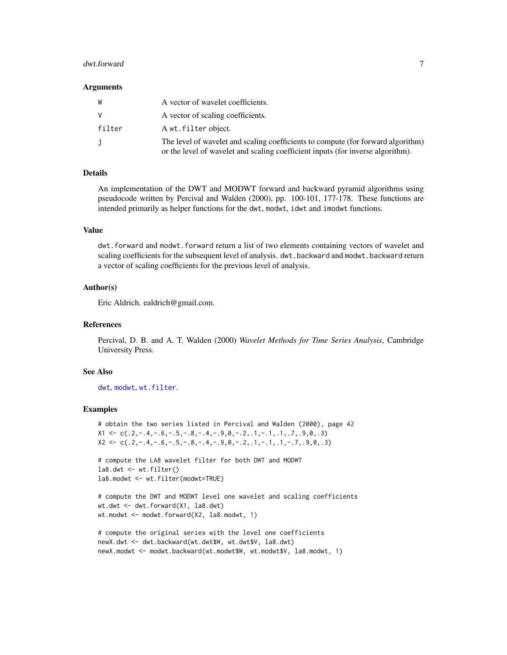#### <span id="page-6-0"></span>dwt.forward 70 and 70 and 70 and 70 and 70 and 70 and 70 and 70 and 70 and 70 and 70 and 70 and 70 and 70 and 70 and 70 and 70 and 70 and 70 and 70 and 70 and 70 and 70 and 70 and 70 and 70 and 70 and 70 and 70 and 70 and

#### Arguments

| W      | A vector of wavelet coefficients.                                                                                                                                   |
|--------|---------------------------------------------------------------------------------------------------------------------------------------------------------------------|
|        | A vector of scaling coefficients.                                                                                                                                   |
| filter | A wt. filter object.                                                                                                                                                |
|        | The level of wavelet and scaling coefficients to compute (for forward algorithm)<br>or the level of wavelet and scaling coefficient inputs (for inverse algorithm). |

# Details

An implementation of the DWT and MODWT forward and backward pyramid algorithms using pseudocode written by Percival and Walden (2000), pp. 100-101, 177-178. These functions are intended primarily as helper functions for the dwt, modwt, idwt and imodwt functions.

#### Value

dwt.forward and modwt.forward return a list of two elements containing vectors of wavelet and scaling coefficients for the subsequent level of analysis. dwt.backward and modwt.backward return a vector of scaling coefficients for the previous level of analysis.

# Author(s)

Eric Aldrich. ealdrich@gmail.com.

#### References

Percival, D. B. and A. T. Walden (2000) *Wavelet Methods for Time Series Analysis*, Cambridge University Press.

# See Also

[dwt](#page-2-1), [modwt](#page-14-1), [wt.filter](#page-33-1).

# Examples

```
# obtain the two series listed in Percival and Walden (2000), page 42
X1 \leftarrow c(.2,-.4,-.6,-.5,-.8,-.4,-.9,0,-.2,.1,-.1,.1,.7,.9,0,.3)X2 \leq c \leq C(.2,-.4,-.6,-.5,-.8,-.4,-.9,0,-.2, .1,-.1, .1,-.7, .9,0,.3)
```

```
# compute the LA8 wavelet filter for both DWT and MODWT
la8.dwt <- wt.filter()
la8.modwt <- wt.filter(modwt=TRUE)
```

```
# compute the DWT and MODWT level one wavelet and scaling coefficients
wt.dwt <- dwt.forward(X1, la8.dwt)
wt.modwt <- modwt.forward(X2, la8.modwt, 1)
```

```
# compute the original series with the level one coefficients
newX.dwt <- dwt.backward(wt.dwt$W, wt.dwt$V, la8.dwt)
newX.modwt <- modwt.backward(wt.modwt$W, wt.modwt$V, la8.modwt, 1)
```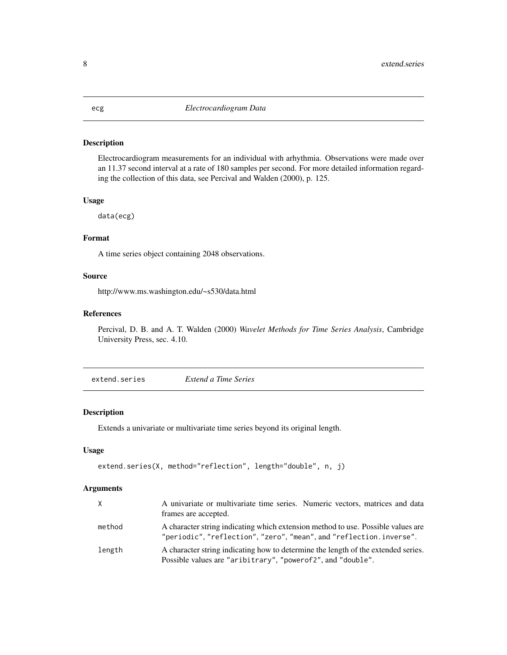# <span id="page-7-0"></span>Description

Electrocardiogram measurements for an individual with arhythmia. Observations were made over an 11.37 second interval at a rate of 180 samples per second. For more detailed information regarding the collection of this data, see Percival and Walden (2000), p. 125.

# Usage

data(ecg)

# Format

A time series object containing 2048 observations.

# Source

http://www.ms.washington.edu/~s530/data.html

# References

Percival, D. B. and A. T. Walden (2000) *Wavelet Methods for Time Series Analysis*, Cambridge University Press, sec. 4.10.

extend.series *Extend a Time Series*

#### Description

Extends a univariate or multivariate time series beyond its original length.

# Usage

```
extend.series(X, method="reflection", length="double", n, j)
```

| X      | A univariate or multivariate time series. Numeric vectors, matrices and data<br>frames are accepted.                                               |
|--------|----------------------------------------------------------------------------------------------------------------------------------------------------|
| method | A character string indicating which extension method to use. Possible values are<br>"periodic","reflection","zero","mean",and"reflection.inverse". |
| length | A character string indicating how to determine the length of the extended series.<br>Possible values are "aribitrary", "powerof2", and "double".   |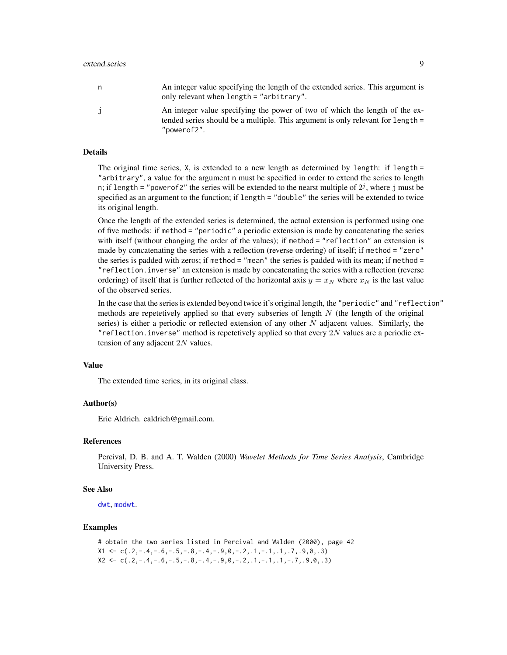#### <span id="page-8-0"></span>extend.series 9

| n. | An integer value specifying the length of the extended series. This argument is<br>only relevant when length $=$ "arbitrary".                                                 |
|----|-------------------------------------------------------------------------------------------------------------------------------------------------------------------------------|
|    | An integer value specifying the power of two of which the length of the ex-<br>tended series should be a multiple. This argument is only relevant for length =<br>"powerof2". |

#### Details

The original time series, X, is extended to a new length as determined by length: if length = "arbitrary", a value for the argument n must be specified in order to extend the series to length n; if length = "power of 2" the series will be extended to the nearst multiple of  $2^j$ , where j must be specified as an argument to the function; if length = "double" the series will be extended to twice its original length.

Once the length of the extended series is determined, the actual extension is performed using one of five methods: if method = "periodic" a periodic extension is made by concatenating the series with itself (without changing the order of the values); if method = "reflection" an extension is made by concatenating the series with a reflection (reverse ordering) of itself; if method = "zero" the series is padded with zeros; if method = "mean" the series is padded with its mean; if method = "reflection.inverse" an extension is made by concatenating the series with a reflection (reverse ordering) of itself that is further reflected of the horizontal axis  $y = x_N$  where  $x_N$  is the last value of the observed series.

In the case that the series is extended beyond twice it's original length, the "periodic" and "reflection" methods are repetetively applied so that every subseries of length  $N$  (the length of the original series) is either a periodic or reflected extension of any other  $N$  adjacent values. Similarly, the "reflection. inverse" method is repetetively applied so that every  $2N$  values are a periodic extension of any adjacent 2N values.

# Value

The extended time series, in its original class.

#### Author(s)

Eric Aldrich. ealdrich@gmail.com.

# References

Percival, D. B. and A. T. Walden (2000) *Wavelet Methods for Time Series Analysis*, Cambridge University Press.

# See Also

[dwt](#page-2-1), [modwt](#page-14-1).

# Examples

```
# obtain the two series listed in Percival and Walden (2000), page 42
X1 \leq C \leq C \leq 2, -14, -16, -15, -18, -14, -19, 0, -12, 11, -11, 11, 17, 19, 0, 13X2 \leq -c(.2,-.4,-.6,-.5,-.8,-.4,-.9,0,-.2,1,-.1,1,-.7,0,0,0.3)
```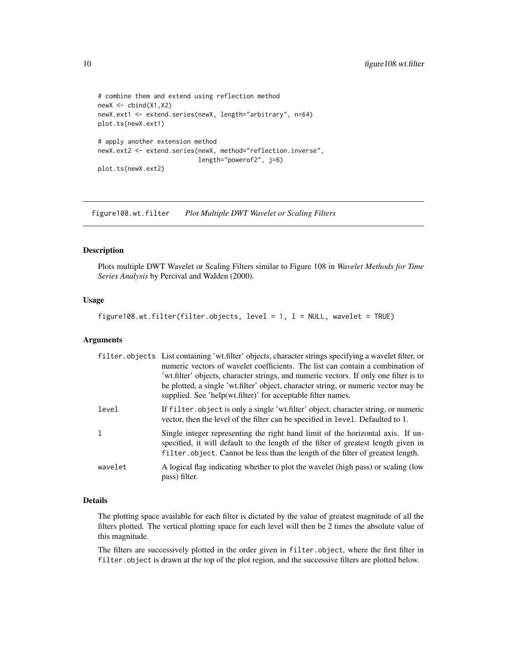```
# combine them and extend using reflection method
newX <- cbind(X1,X2)
newX.ext1 <- extend.series(newX, length="arbitrary", n=64)
plot.ts(newX.ext1)
# apply another extension method
newX.ext2 <- extend.series(newX, method="reflection.inverse",
                           length="powerof2", j=6)
plot.ts(newX.ext2)
```
figure108.wt.filter *Plot Multiple DWT Wavelet or Scaling Filters*

# Description

Plots multiple DWT Wavelet or Scaling Filters similar to Figure 108 in *Wavelet Methods for Time Series Analysis* by Percival and Walden (2000).

# Usage

figure108.wt.filter(filter.objects, level = 1, l = NULL, wavelet = TRUE)

### Arguments

|              | filter.objects List containing 'wt.filter' objects, character strings specifying a wavelet filter, or<br>numeric vectors of wavelet coefficients. The list can contain a combination of<br>'wt.filter' objects, character strings, and numeric vectors. If only one filter is to<br>be plotted, a single 'wt.filter' object, character string, or numeric vector may be<br>supplied. See 'help(wt.filter)' for acceptable filter names. |
|--------------|-----------------------------------------------------------------------------------------------------------------------------------------------------------------------------------------------------------------------------------------------------------------------------------------------------------------------------------------------------------------------------------------------------------------------------------------|
| level        | If filter object is only a single 'wt.filter' object, character string, or numeric<br>vector, then the level of the filter can be specified in level. Defaulted to 1.                                                                                                                                                                                                                                                                   |
| $\mathbf{1}$ | Single integer representing the right hand limit of the horizontal axis. If un-<br>specified, it will default to the length of the filter of greatest length given in<br>filter.object. Cannot be less than the length of the filter of greatest length.                                                                                                                                                                                |
| wavelet      | A logical flag indicating whether to plot the wavelet (high pass) or scaling (low<br>pass) filter.                                                                                                                                                                                                                                                                                                                                      |

# Details

The plotting space available for each filter is dictated by the value of greatest magnitude of all the filters plotted. The vertical plotting space for each level will then be 2 times the absolute value of this magnitude.

The filters are successively plotted in the order given in filter.object, where the first filter in filter.object is drawn at the top of the plot region, and the successive filters are plotted below.

<span id="page-9-0"></span>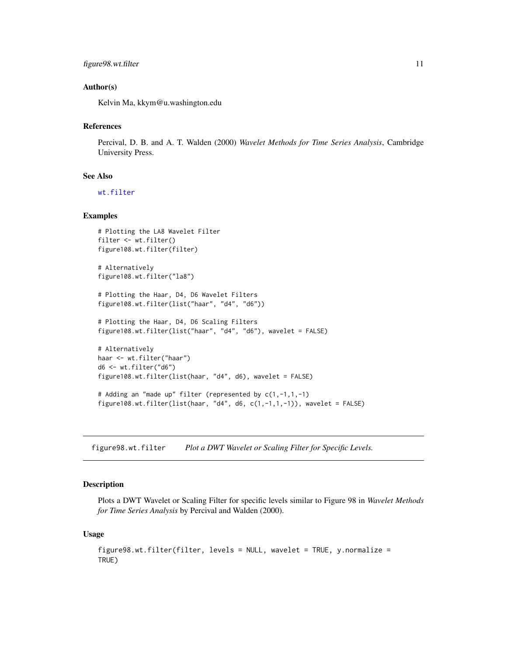# <span id="page-10-0"></span>figure98.wt.filter 11

# Author(s)

Kelvin Ma, kkym@u.washington.edu

#### References

Percival, D. B. and A. T. Walden (2000) *Wavelet Methods for Time Series Analysis*, Cambridge University Press.

#### See Also

[wt.filter](#page-33-1)

# Examples

```
# Plotting the LA8 Wavelet Filter
filter <- wt.filter()
figure108.wt.filter(filter)
# Alternatively
figure108.wt.filter("la8")
# Plotting the Haar, D4, D6 Wavelet Filters
figure108.wt.filter(list("haar", "d4", "d6"))
# Plotting the Haar, D4, D6 Scaling Filters
figure108.wt.filter(list("haar", "d4", "d6"), wavelet = FALSE)
# Alternatively
haar <- wt.filter("haar")
d6 <- wt.filter("d6")
figure108.wt.filter(list(haar, "d4", d6), wavelet = FALSE)
# Adding an "made up" filter (represented by c(1,-1,1,-1)
figure108.wt.filter(list(haar, "d4", d6, c(1,-1,1,-1)), wavelet = FALSE)
```
figure98.wt.filter *Plot a DWT Wavelet or Scaling Filter for Specific Levels.*

# Description

Plots a DWT Wavelet or Scaling Filter for specific levels similar to Figure 98 in *Wavelet Methods for Time Series Analysis* by Percival and Walden (2000).

#### Usage

```
figure98.wt.filter(filter, levels = NULL, wavelet = TRUE, y.normalize =
TRUE)
```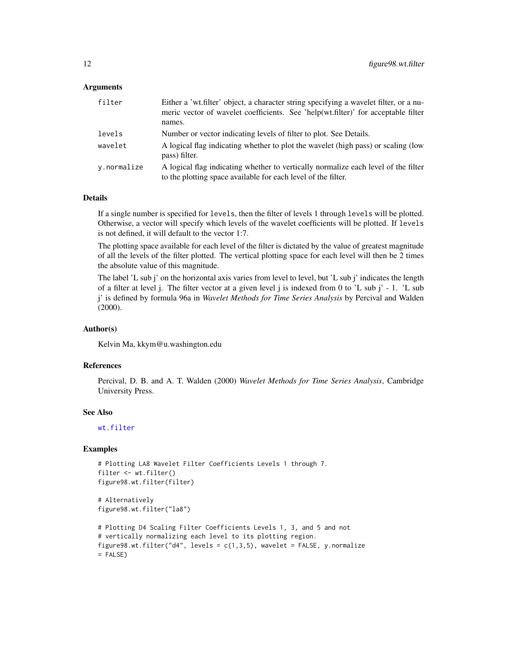# <span id="page-11-0"></span>**Arguments**

| filter      | Either a 'wt.filter' object, a character string specifying a wavelet filter, or a nu-<br>meric vector of wavelet coefficients. See 'help(wt.filter)' for acceptable filter<br>names. |
|-------------|--------------------------------------------------------------------------------------------------------------------------------------------------------------------------------------|
| levels      | Number or vector indicating levels of filter to plot. See Details.                                                                                                                   |
| wavelet     | A logical flag indicating whether to plot the wavelet (high pass) or scaling (low<br>pass) filter.                                                                                   |
| y.normalize | A logical flag indicating whether to vertically normalize each level of the filter<br>to the plotting space available for each level of the filter.                                  |

#### Details

If a single number is specified for levels, then the filter of levels 1 through levels will be plotted. Otherwise, a vector will specify which levels of the wavelet coefficients will be plotted. If levels is not defined, it will default to the vector 1:7.

The plotting space available for each level of the filter is dictated by the value of greatest magnitude of all the levels of the filter plotted. The vertical plotting space for each level will then be 2 times the absolute value of this magnitude.

The label 'L sub j' on the horizontal axis varies from level to level, but 'L sub j' indicates the length of a filter at level j. The filter vector at a given level j is indexed from 0 to 'L sub j' - 1. 'L sub j' is defined by formula 96a in *Wavelet Methods for Time Series Analysis* by Percival and Walden (2000).

#### Author(s)

Kelvin Ma, kkym@u.washington.edu

#### References

Percival, D. B. and A. T. Walden (2000) *Wavelet Methods for Time Series Analysis*, Cambridge University Press.

#### See Also

[wt.filter](#page-33-1)

# Examples

```
# Plotting LA8 Wavelet Filter Coefficients Levels 1 through 7.
filter <- wt.filter()
figure98.wt.filter(filter)
```

```
# Alternatively
figure98.wt.filter("la8")
```

```
# Plotting D4 Scaling Filter Coefficients Levels 1, 3, and 5 and not
# vertically normalizing each level to its plotting region.
figure98.wt.filter("d4", levels = c(1,3,5), wavelet = FALSE, y.normalize
= FALSE)
```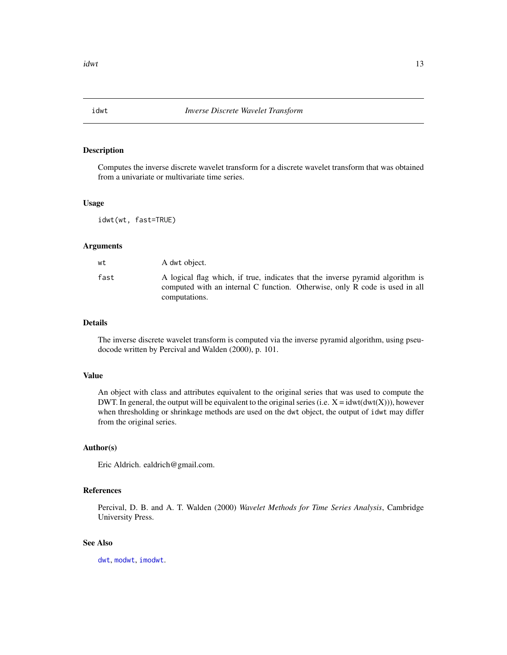<span id="page-12-1"></span><span id="page-12-0"></span>

# Description

Computes the inverse discrete wavelet transform for a discrete wavelet transform that was obtained from a univariate or multivariate time series.

#### Usage

idwt(wt, fast=TRUE)

#### Arguments

| wt   | A dwt object.                                                                                                                                                                  |
|------|--------------------------------------------------------------------------------------------------------------------------------------------------------------------------------|
| fast | A logical flag which, if true, indicates that the inverse pyramid algorithm is<br>computed with an internal C function. Otherwise, only R code is used in all<br>computations. |

# Details

The inverse discrete wavelet transform is computed via the inverse pyramid algorithm, using pseudocode written by Percival and Walden (2000), p. 101.

#### Value

An object with class and attributes equivalent to the original series that was used to compute the DWT. In general, the output will be equivalent to the original series (i.e.  $X = i \frac{dwt(dwt(X))}{dwt(X)}$ ), however when thresholding or shrinkage methods are used on the dwt object, the output of idwt may differ from the original series.

#### Author(s)

Eric Aldrich. ealdrich@gmail.com.

# References

Percival, D. B. and A. T. Walden (2000) *Wavelet Methods for Time Series Analysis*, Cambridge University Press.

#### See Also

[dwt](#page-2-1), [modwt](#page-14-1), [imodwt](#page-13-1).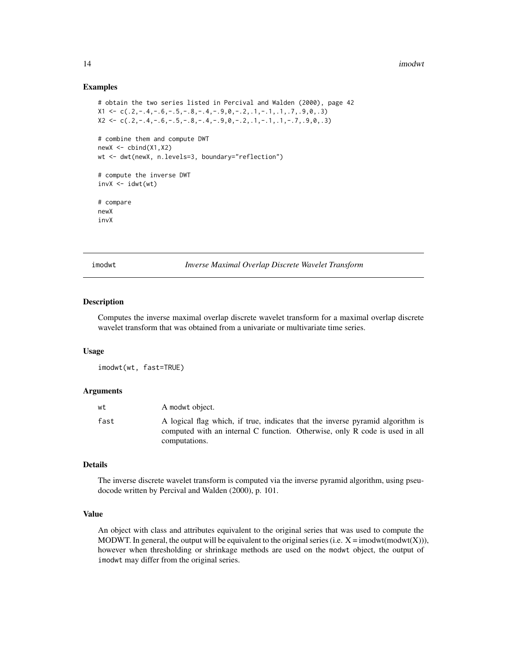#### Examples

```
# obtain the two series listed in Percival and Walden (2000), page 42
X1 \leftarrow c(.2,-.4,-.6,-.5,-.8,-.4,-.9,0,-.2, .1,-.1, .1, .7, .9,0,.3)X2 \leq c \leq C(.2,-.4,-.6,-.5,-.8,-.4,-.9,0,-.2,1,-.1,1,-.7,0,0,0.3)# combine them and compute DWT
newX \leftarrow \text{cbind}(X1, X2)wt <- dwt(newX, n.levels=3, boundary="reflection")
# compute the inverse DWT
invX \leftarrow idwt(wt)# compare
newX
invX
```
<span id="page-13-1"></span>imodwt *Inverse Maximal Overlap Discrete Wavelet Transform*

# Description

Computes the inverse maximal overlap discrete wavelet transform for a maximal overlap discrete wavelet transform that was obtained from a univariate or multivariate time series.

#### Usage

imodwt(wt, fast=TRUE)

# Arguments

| wt   | A modwt object.                                                                                                                                                                |
|------|--------------------------------------------------------------------------------------------------------------------------------------------------------------------------------|
| fast | A logical flag which, if true, indicates that the inverse pyramid algorithm is<br>computed with an internal C function. Otherwise, only R code is used in all<br>computations. |

# Details

The inverse discrete wavelet transform is computed via the inverse pyramid algorithm, using pseudocode written by Percival and Walden (2000), p. 101.

# Value

An object with class and attributes equivalent to the original series that was used to compute the MODWT. In general, the output will be equivalent to the original series (i.e.  $X = \text{imodwt}(\text{modwt}(X)))$ , however when thresholding or shrinkage methods are used on the modwt object, the output of imodwt may differ from the original series.

<span id="page-13-0"></span>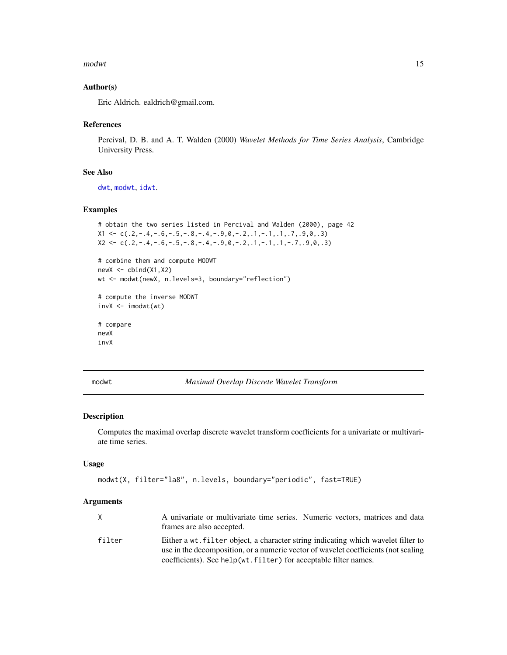#### <span id="page-14-0"></span>modwt the contract of the contract of the contract of the contract of the contract of the contract of the contract of the contract of the contract of the contract of the contract of the contract of the contract of the cont

# Author(s)

Eric Aldrich. ealdrich@gmail.com.

#### References

Percival, D. B. and A. T. Walden (2000) *Wavelet Methods for Time Series Analysis*, Cambridge University Press.

# See Also

[dwt](#page-2-1), [modwt](#page-14-1), [idwt](#page-12-1).

# Examples

```
# obtain the two series listed in Percival and Walden (2000), page 42
X1 \leftarrow c(.2,-.4,-.6,-.5,-.8,-.4,-.9,0,-.2, .1,-.1, .1, .7, .9,0,.3)X2 \leq -c(.2,-.4,-.6,-.5,-.8,-.4,-.9,0,-.2, .1,-.1, .1,-.7, .9,0,.3)
```

```
# combine them and compute MODWT
newX \leftarrow \text{cbind}(X1, X2)wt <- modwt(newX, n.levels=3, boundary="reflection")
```

```
# compute the inverse MODWT
invX \leftarrow imodwt(wt)
```

```
# compare
newX
invX
```
<span id="page-14-1"></span>modwt *Maximal Overlap Discrete Wavelet Transform*

# Description

Computes the maximal overlap discrete wavelet transform coefficients for a univariate or multivariate time series.

# Usage

```
modwt(X, filter="la8", n.levels, boundary="periodic", fast=TRUE)
```

|        | A univariate or multivariate time series. Numeric vectors, matrices and data       |
|--------|------------------------------------------------------------------------------------|
|        | frames are also accepted.                                                          |
| filter | Either a wt. filter object, a character string indicating which wavelet filter to  |
|        | use in the decomposition, or a numeric vector of wavelet coefficients (not scaling |
|        | coefficients). See help(wt.filter) for acceptable filter names.                    |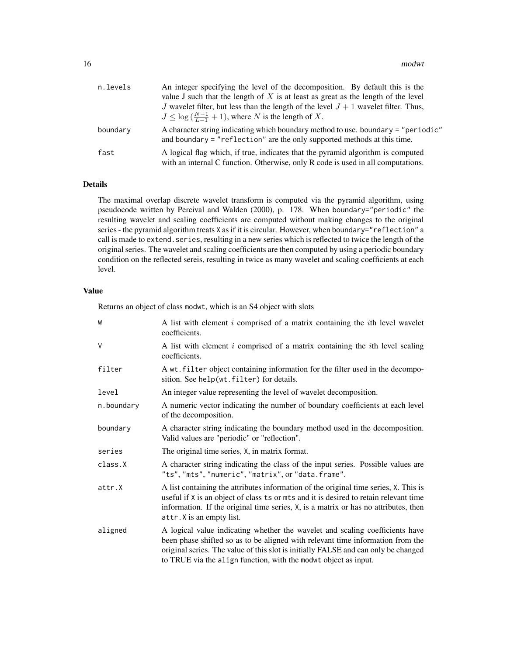| n.levels | An integer specifying the level of the decomposition. By default this is the<br>value J such that the length of $X$ is at least as great as the length of the level<br>J wavelet filter, but less than the length of the level $J + 1$ wavelet filter. Thus,<br>$J \leq \log(\frac{N-1}{L-1}+1)$ , where N is the length of X. |
|----------|--------------------------------------------------------------------------------------------------------------------------------------------------------------------------------------------------------------------------------------------------------------------------------------------------------------------------------|
| boundary | A character string indicating which boundary method to use, boundary = "periodic"<br>and boundary $=$ "reflection" are the only supported methods at this time.                                                                                                                                                                |
| fast     | A logical flag which, if true, indicates that the pyramid algorithm is computed<br>with an internal C function. Otherwise, only R code is used in all computations.                                                                                                                                                            |

# Details

The maximal overlap discrete wavelet transform is computed via the pyramid algorithm, using pseudocode written by Percival and Walden (2000), p. 178. When boundary="periodic" the resulting wavelet and scaling coefficients are computed without making changes to the original series - the pyramid algorithm treats X as if it is circular. However, when boundary="reflection" a call is made to extend.series, resulting in a new series which is reflected to twice the length of the original series. The wavelet and scaling coefficients are then computed by using a periodic boundary condition on the reflected sereis, resulting in twice as many wavelet and scaling coefficients at each level.

# Value

Returns an object of class modwt, which is an S4 object with slots

| W          | A list with element $i$ comprised of a matrix containing the $i$ th level wavelet<br>coefficients.                                                                                                                                                                                                                      |
|------------|-------------------------------------------------------------------------------------------------------------------------------------------------------------------------------------------------------------------------------------------------------------------------------------------------------------------------|
| $\vee$     | A list with element $i$ comprised of a matrix containing the $i$ th level scaling<br>coefficients.                                                                                                                                                                                                                      |
| filter     | A wt. filter object containing information for the filter used in the decompo-<br>sition. See help(wt.filter) for details.                                                                                                                                                                                              |
| level      | An integer value representing the level of wavelet decomposition.                                                                                                                                                                                                                                                       |
| n.boundary | A numeric vector indicating the number of boundary coefficients at each level<br>of the decomposition.                                                                                                                                                                                                                  |
| boundary   | A character string indicating the boundary method used in the decomposition.<br>Valid values are "periodic" or "reflection".                                                                                                                                                                                            |
| series     | The original time series, $X$ , in matrix format.                                                                                                                                                                                                                                                                       |
| class.X    | A character string indicating the class of the input series. Possible values are<br>"ts", "mts", "numeric", "matrix", or "data.frame".                                                                                                                                                                                  |
| attr.X     | A list containing the attributes information of the original time series, X. This is<br>useful if X is an object of class ts or mts and it is desired to retain relevant time<br>information. If the original time series, X, is a matrix or has no attributes, then<br>attr. X is an empty list.                       |
| aligned    | A logical value indicating whether the wavelet and scaling coefficients have<br>been phase shifted so as to be aligned with relevant time information from the<br>original series. The value of this slot is initially FALSE and can only be changed<br>to TRUE via the align function, with the modwt object as input. |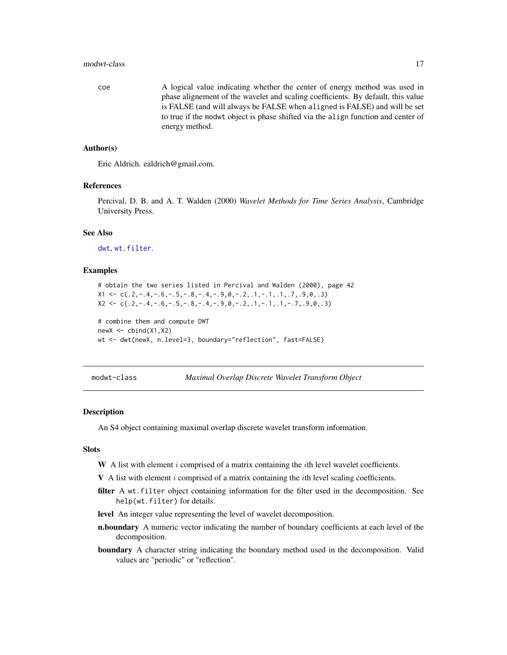#### <span id="page-16-0"></span>modwt-class and the state of the state of the state of the state of the state of the state of the state of the state of the state of the state of the state of the state of the state of the state of the state of the state o

coe A logical value indicating whether the center of energy method was used in phase alignement of the wavelet and scaling coefficients. By default, this value is FALSE (and will always be FALSE when aligned is FALSE) and will be set to true if the modwt object is phase shifted via the align function and center of energy method.

# Author(s)

Eric Aldrich. ealdrich@gmail.com.

# References

Percival, D. B. and A. T. Walden (2000) *Wavelet Methods for Time Series Analysis*, Cambridge University Press.

# See Also

[dwt](#page-2-1), [wt.filter](#page-33-1).

# Examples

```
# obtain the two series listed in Percival and Walden (2000), page 42
X1 \leftarrow c(.2,-.4,-.6,-.5,-.8,-.4,-.9,0,-.2,1,-.1,1,.7,.9,0,.3)X2 \leq c \leq C(.2,-.4,-.6,-.5,-.8,-.4,-.9,0,-.2,1,-.1,1,-.7,0,0,0,3)
```

```
# combine them and compute DWT
newX \leftarrow \text{cbind}(X1, X2)wt <- dwt(newX, n.level=3, boundary="reflection", fast=FALSE)
```
<span id="page-16-1"></span>modwt-class *Maximal Overlap Discrete Wavelet Transform Object*

#### Description

An S4 object containing maximal overlap discrete wavelet transform information.

#### **Slots**

- W A list with element  $i$  comprised of a matrix containing the  $i$ th level wavelet coefficients.
- $V$  A list with element i comprised of a matrix containing the ith level scaling coefficients.
- filter A wt.filter object containing information for the filter used in the decomposition. See help(wt.filter) for details.
- level An integer value representing the level of wavelet decomposition.
- n.boundary A numeric vector indicating the number of boundary coefficients at each level of the decomposition.
- boundary A character string indicating the boundary method used in the decomposition. Valid values are "periodic" or "reflection".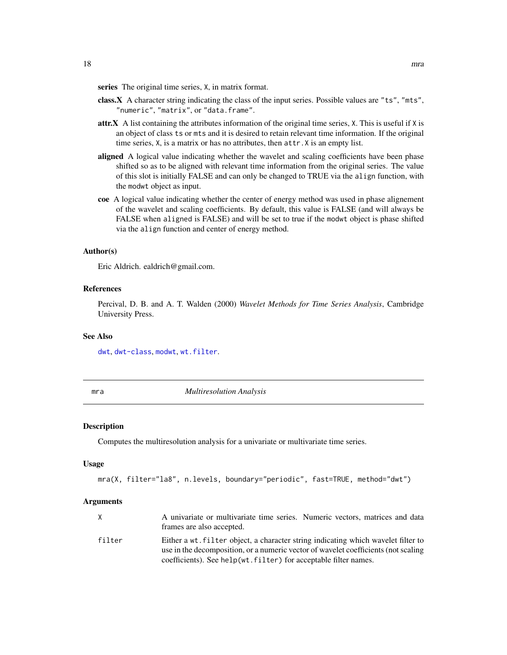<span id="page-17-0"></span>series The original time series, X, in matrix format.

- class.X A character string indicating the class of the input series. Possible values are "ts", "mts", "numeric", "matrix", or "data.frame".
- attr.X A list containing the attributes information of the original time series, X. This is useful if X is an object of class ts or mts and it is desired to retain relevant time information. If the original time series, X, is a matrix or has no attributes, then attr.X is an empty list.
- aligned A logical value indicating whether the wavelet and scaling coefficients have been phase shifted so as to be aligned with relevant time information from the original series. The value of this slot is initially FALSE and can only be changed to TRUE via the align function, with the modwt object as input.
- coe A logical value indicating whether the center of energy method was used in phase alignement of the wavelet and scaling coefficients. By default, this value is FALSE (and will always be FALSE when aligned is FALSE) and will be set to true if the modwt object is phase shifted via the align function and center of energy method.

#### Author(s)

Eric Aldrich. ealdrich@gmail.com.

## References

Percival, D. B. and A. T. Walden (2000) *Wavelet Methods for Time Series Analysis*, Cambridge University Press.

#### See Also

[dwt](#page-2-1), [dwt-class](#page-4-1), [modwt](#page-14-1), [wt.filter](#page-33-1).

mra *Multiresolution Analysis*

#### Description

Computes the multiresolution analysis for a univariate or multivariate time series.

#### Usage

mra(X, filter="la8", n.levels, boundary="periodic", fast=TRUE, method="dwt")

|        | A univariate or multivariate time series. Numeric vectors, matrices and data       |
|--------|------------------------------------------------------------------------------------|
|        | frames are also accepted.                                                          |
| filter | Either a wt. filter object, a character string indicating which wavelet filter to  |
|        | use in the decomposition, or a numeric vector of wavelet coefficients (not scaling |
|        | coefficients). See help(wt.filter) for acceptable filter names.                    |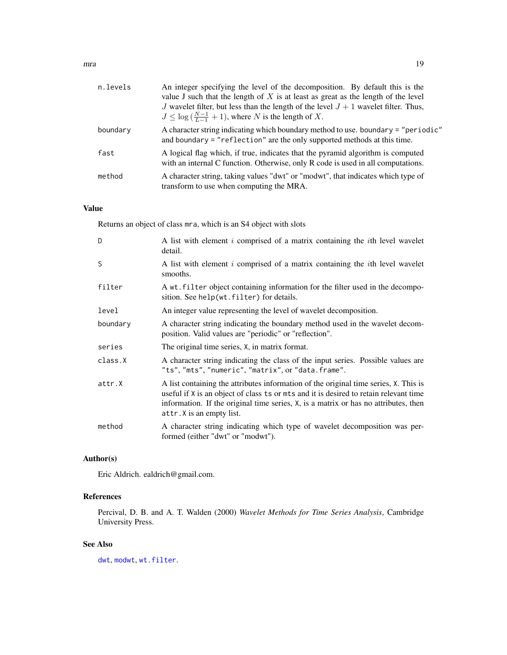| n.levels | An integer specifying the level of the decomposition. By default this is the<br>value J such that the length of $X$ is at least as great as the length of the level |
|----------|---------------------------------------------------------------------------------------------------------------------------------------------------------------------|
|          | J wavelet filter, but less than the length of the level $J + 1$ wavelet filter. Thus,<br>$J \leq \log(\frac{N-1}{I-1}+1)$ , where N is the length of X.             |
| boundary | A character string indicating which boundary method to use. boundary = "periodic"<br>and boundary $=$ "reflection" are the only supported methods at this time.     |
| fast     | A logical flag which, if true, indicates that the pyramid algorithm is computed<br>with an internal C function. Otherwise, only R code is used in all computations. |
| method   | A character string, taking values "dwt" or "modwt", that indicates which type of<br>transform to use when computing the MRA.                                        |

# Value

Returns an object of class mra, which is an S4 object with slots

| D        | A list with element i comprised of a matrix containing the <i>i</i> th level wavelet<br>detail.                                                                                                                                                                                                   |
|----------|---------------------------------------------------------------------------------------------------------------------------------------------------------------------------------------------------------------------------------------------------------------------------------------------------|
| S        | A list with element i comprised of a matrix containing the <i>i</i> th level wavelet<br>smooths.                                                                                                                                                                                                  |
| filter   | A wt. filter object containing information for the filter used in the decompo-<br>sition. See help(wt.filter) for details.                                                                                                                                                                        |
| level    | An integer value representing the level of wavelet decomposition.                                                                                                                                                                                                                                 |
| boundary | A character string indicating the boundary method used in the wavelet decom-<br>position. Valid values are "periodic" or "reflection".                                                                                                                                                            |
| series   | The original time series, X, in matrix format.                                                                                                                                                                                                                                                    |
| class.X  | A character string indicating the class of the input series. Possible values are<br>"ts", "mts", "numeric", "matrix", or "data.frame".                                                                                                                                                            |
| attr.X   | A list containing the attributes information of the original time series, X. This is<br>useful if X is an object of class ts or mts and it is desired to retain relevant time<br>information. If the original time series, X, is a matrix or has no attributes, then<br>attr. X is an empty list. |
| method   | A character string indicating which type of wavelet decomposition was per-<br>formed (either "dwt" or "modwt").                                                                                                                                                                                   |

# Author(s)

Eric Aldrich. ealdrich@gmail.com.

# References

Percival, D. B. and A. T. Walden (2000) *Wavelet Methods for Time Series Analysis*, Cambridge University Press.

# See Also

[dwt](#page-2-1), [modwt](#page-14-1), [wt.filter](#page-33-1).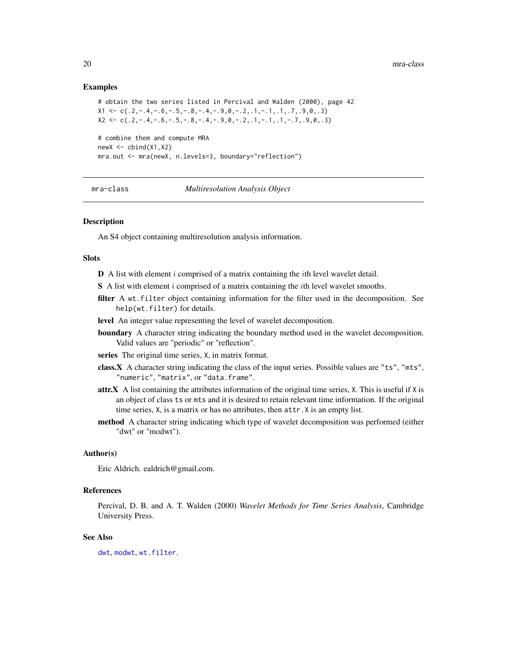## Examples

# obtain the two series listed in Percival and Walden (2000), page 42  $X1 \leftarrow c(.2,-.4,-.6,-.5,-.8,-.4,-.9,0,-.2, .1,-.1, .1, .7, .9,0,.3)$  $X2 \leq C \leq C \leq 2, -14, -16, -15, -18, -14, -19, 0, -12, 1, -11, 1, -17, 0, 0, 0, 0)$ # combine them and compute MRA  $newX \leftarrow \text{cbind}(X1, X2)$ mra.out <- mra(newX, n.levels=3, boundary="reflection")

#### mra-class *Multiresolution Analysis Object*

# Description

An S4 object containing multiresolution analysis information.

# **Slots**

- **A list with element i comprised of a matrix containing the** *i***th level wavelet detail.**
- $S$  A list with element i comprised of a matrix containing the ith level wavelet smooths.
- filter A wt.filter object containing information for the filter used in the decomposition. See help(wt.filter) for details.
- level An integer value representing the level of wavelet decomposition.
- boundary A character string indicating the boundary method used in the wavelet decomposition. Valid values are "periodic" or "reflection".
- series The original time series, X, in matrix format.
- class.X A character string indicating the class of the input series. Possible values are "ts", "mts", "numeric", "matrix", or "data.frame".
- attr.X A list containing the attributes information of the original time series, X. This is useful if X is an object of class ts or mts and it is desired to retain relevant time information. If the original time series, X, is a matrix or has no attributes, then attr.X is an empty list.
- method A character string indicating which type of wavelet decomposition was performed (either "dwt" or "modwt").

#### Author(s)

Eric Aldrich. ealdrich@gmail.com.

# References

Percival, D. B. and A. T. Walden (2000) *Wavelet Methods for Time Series Analysis*, Cambridge University Press.

#### See Also

[dwt](#page-2-1), [modwt](#page-14-1), [wt.filter](#page-33-1).

<span id="page-19-0"></span>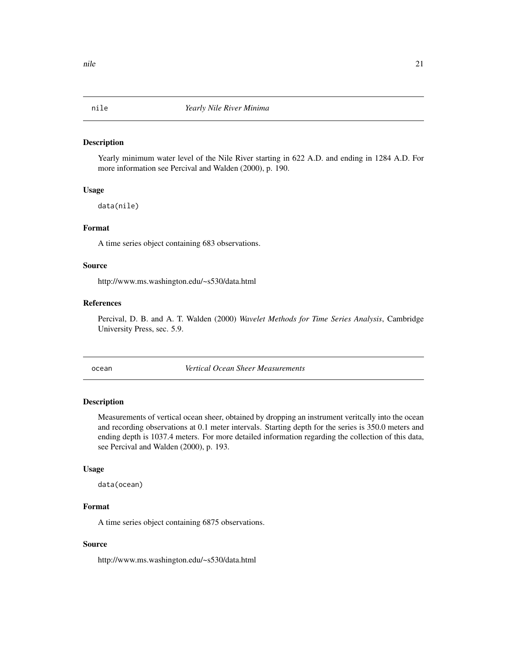#### <span id="page-20-0"></span>Description

Yearly minimum water level of the Nile River starting in 622 A.D. and ending in 1284 A.D. For more information see Percival and Walden (2000), p. 190.

# Usage

data(nile)

# Format

A time series object containing 683 observations.

#### Source

http://www.ms.washington.edu/~s530/data.html

#### References

Percival, D. B. and A. T. Walden (2000) *Wavelet Methods for Time Series Analysis*, Cambridge University Press, sec. 5.9.

ocean *Vertical Ocean Sheer Measurements*

# Description

Measurements of vertical ocean sheer, obtained by dropping an instrument veritcally into the ocean and recording observations at 0.1 meter intervals. Starting depth for the series is 350.0 meters and ending depth is 1037.4 meters. For more detailed information regarding the collection of this data, see Percival and Walden (2000), p. 193.

#### Usage

data(ocean)

# Format

A time series object containing 6875 observations.

### Source

http://www.ms.washington.edu/~s530/data.html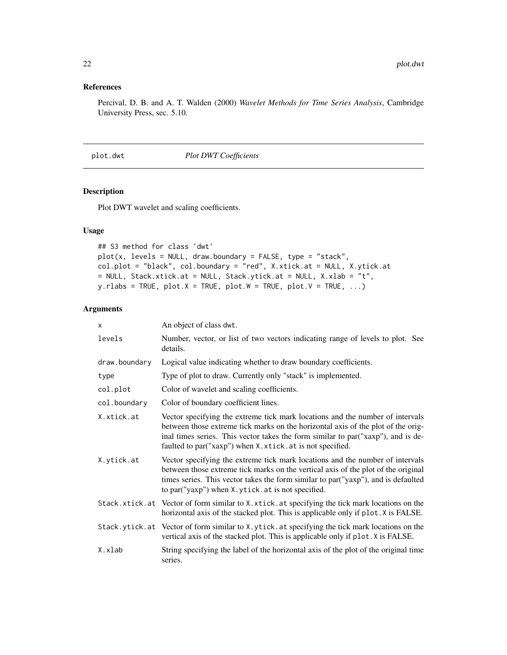# <span id="page-21-0"></span>References

Percival, D. B. and A. T. Walden (2000) *Wavelet Methods for Time Series Analysis*, Cambridge University Press, sec. 5.10.

<span id="page-21-1"></span>plot.dwt *Plot DWT Coefficients*

# Description

Plot DWT wavelet and scaling coefficients.

# Usage

```
## S3 method for class 'dwt'
plot(x, levels = NULL, draw.boundary = FALSE, type = "stack",
col.plot = "black", col.boundary = "red", X.xtick.at = NULL, X.ytick.at
= NULL, Stack.xtick.at = NULL, Stack.ytick.at = NULL, X.xlab = "t",
y.rlabs = TRUE, plot.X = TRUE, plot.W = TRUE, plot.V = TRUE, ...)
```

| x             | An object of class dwt.                                                                                                                                                                                                                                                                                             |
|---------------|---------------------------------------------------------------------------------------------------------------------------------------------------------------------------------------------------------------------------------------------------------------------------------------------------------------------|
| levels        | Number, vector, or list of two vectors indicating range of levels to plot. See<br>details.                                                                                                                                                                                                                          |
| draw.boundary | Logical value indicating whether to draw boundary coefficients.                                                                                                                                                                                                                                                     |
| type          | Type of plot to draw. Currently only "stack" is implemented.                                                                                                                                                                                                                                                        |
| col.plot      | Color of wavelet and scaling coefficients.                                                                                                                                                                                                                                                                          |
| col.boundary  | Color of boundary coefficient lines.                                                                                                                                                                                                                                                                                |
| X.xtick.at    | Vector specifying the extreme tick mark locations and the number of intervals<br>between those extreme tick marks on the horizontal axis of the plot of the orig-<br>inal times series. This vector takes the form similar to par ("xaxp"), and is de-<br>faulted to par ("xaxp") when X.xtick.at is not specified. |
| X.ytick.at    | Vector specifying the extreme tick mark locations and the number of intervals<br>between those extreme tick marks on the vertical axis of the plot of the original<br>times series. This vector takes the form similar to par ("yaxp"), and is defaulted<br>to par("yaxp") when X.ytick.at is not specified.        |
|               | Stack.xtick.at Vector of form similar to X.xtick.at specifying the tick mark locations on the<br>horizontal axis of the stacked plot. This is applicable only if plot. X is FALSE.                                                                                                                                  |
|               | Stack.ytick.at Vector of form similar to X.ytick.at specifying the tick mark locations on the<br>vertical axis of the stacked plot. This is applicable only if plot. X is FALSE.                                                                                                                                    |
| X.xlab        | String specifying the label of the horizontal axis of the plot of the original time<br>series.                                                                                                                                                                                                                      |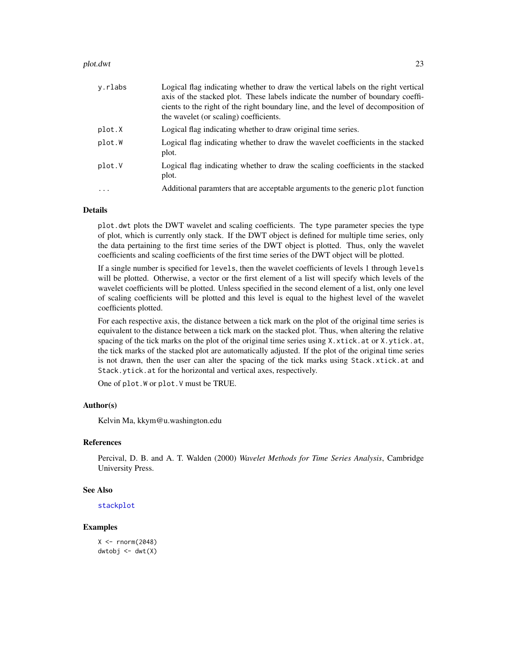#### <span id="page-22-0"></span>plot.dwt 23

| y.rlabs  | Logical flag indicating whether to draw the vertical labels on the right vertical<br>axis of the stacked plot. These labels indicate the number of boundary coeffi-<br>cients to the right of the right boundary line, and the level of decomposition of<br>the wavelet (or scaling) coefficients. |
|----------|----------------------------------------------------------------------------------------------------------------------------------------------------------------------------------------------------------------------------------------------------------------------------------------------------|
| plot.X   | Logical flag indicating whether to draw original time series.                                                                                                                                                                                                                                      |
| plot.W   | Logical flag indicating whether to draw the wavelet coefficients in the stacked<br>plot.                                                                                                                                                                                                           |
| plot.V   | Logical flag indicating whether to draw the scaling coefficients in the stacked<br>plot.                                                                                                                                                                                                           |
| $\cdots$ | Additional parameters that are acceptable arguments to the generic plot function                                                                                                                                                                                                                   |

# Details

plot.dwt plots the DWT wavelet and scaling coefficients. The type parameter species the type of plot, which is currently only stack. If the DWT object is defined for multiple time series, only the data pertaining to the first time series of the DWT object is plotted. Thus, only the wavelet coefficients and scaling coefficients of the first time series of the DWT object will be plotted.

If a single number is specified for levels, then the wavelet coefficients of levels 1 through levels will be plotted. Otherwise, a vector or the first element of a list will specify which levels of the wavelet coefficients will be plotted. Unless specified in the second element of a list, only one level of scaling coefficients will be plotted and this level is equal to the highest level of the wavelet coefficients plotted.

For each respective axis, the distance between a tick mark on the plot of the original time series is equivalent to the distance between a tick mark on the stacked plot. Thus, when altering the relative spacing of the tick marks on the plot of the original time series using X.xtick.at or X.ytick.at, the tick marks of the stacked plot are automatically adjusted. If the plot of the original time series is not drawn, then the user can alter the spacing of the tick marks using Stack.xtick.at and Stack.ytick.at for the horizontal and vertical axes, respectively.

One of plot.W or plot.V must be TRUE.

#### Author(s)

Kelvin Ma, kkym@u.washington.edu

## References

Percival, D. B. and A. T. Walden (2000) *Wavelet Methods for Time Series Analysis*, Cambridge University Press.

# See Also

[stackplot](#page-29-1)

# Examples

 $X < -$  rnorm $(2048)$  $dwtobj \leftarrow dwt(X)$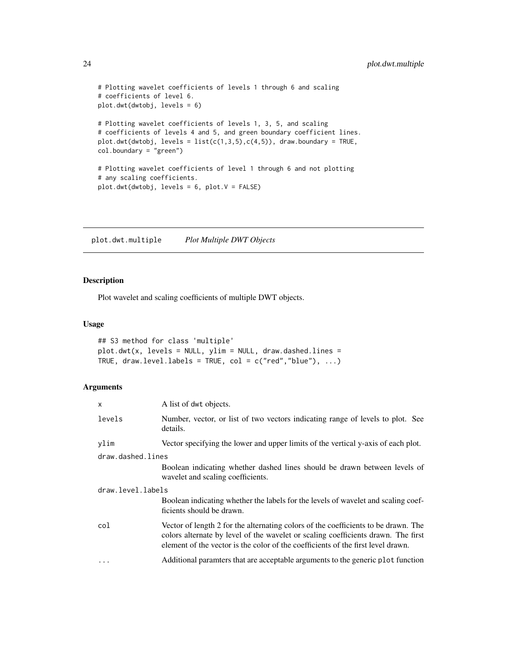```
# Plotting wavelet coefficients of levels 1 through 6 and scaling
# coefficients of level 6.
plot.dwt(dwtobj, levels = 6)
# Plotting wavelet coefficients of levels 1, 3, 5, and scaling
# coefficients of levels 4 and 5, and green boundary coefficient lines.
plot.dwt(dwtobj, levels = list(c(1,3,5), c(4,5)), draw.boundary = TRUE,
col.boundary = "green")
# Plotting wavelet coefficients of level 1 through 6 and not plotting
# any scaling coefficients.
plot.dwt(dwtobj, levels = 6, plot.V = FALSE)
```
plot.dwt.multiple *Plot Multiple DWT Objects*

#### Description

Plot wavelet and scaling coefficients of multiple DWT objects.

# Usage

```
## S3 method for class 'multiple'
plot.dwt(x, levels = NULL, ylim = NULL, draw.dashed.lines =
TRUE, draw.level.labels = TRUE, col = c("red", "blue"), ...
```

| $\times$          | A list of dwt objects.                                                                                                                                                                                                                                      |
|-------------------|-------------------------------------------------------------------------------------------------------------------------------------------------------------------------------------------------------------------------------------------------------------|
| levels            | Number, vector, or list of two vectors indicating range of levels to plot. See<br>details.                                                                                                                                                                  |
| ylim              | Vector specifying the lower and upper limits of the vertical y-axis of each plot.                                                                                                                                                                           |
| draw.dashed.lines |                                                                                                                                                                                                                                                             |
|                   | Boolean indicating whether dashed lines should be drawn between levels of<br>wavelet and scaling coefficients.                                                                                                                                              |
| draw.level.labels |                                                                                                                                                                                                                                                             |
|                   | Boolean indicating whether the labels for the levels of wavelet and scaling coef-<br>ficients should be drawn.                                                                                                                                              |
| col               | Vector of length 2 for the alternating colors of the coefficients to be drawn. The<br>colors alternate by level of the wavelet or scaling coefficients drawn. The first<br>element of the vector is the color of the coefficients of the first level drawn. |
| $\ddots$ .        | Additional parameters that are acceptable arguments to the generic plot function                                                                                                                                                                            |

<span id="page-23-0"></span>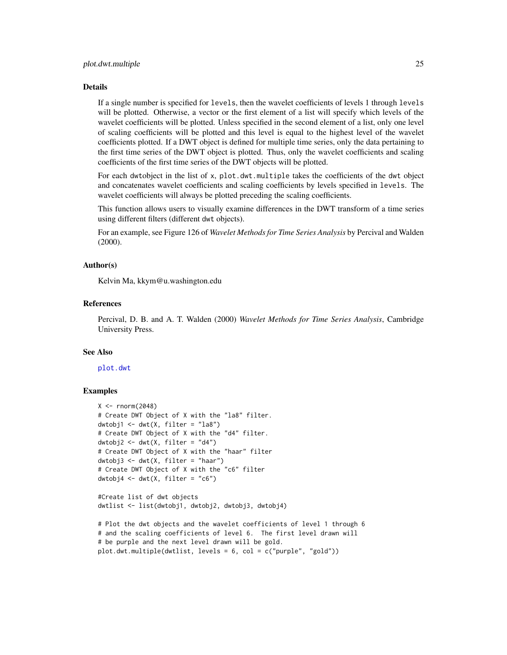#### <span id="page-24-0"></span>Details

If a single number is specified for levels, then the wavelet coefficients of levels 1 through levels will be plotted. Otherwise, a vector or the first element of a list will specify which levels of the wavelet coefficients will be plotted. Unless specified in the second element of a list, only one level of scaling coefficients will be plotted and this level is equal to the highest level of the wavelet coefficients plotted. If a DWT object is defined for multiple time series, only the data pertaining to the first time series of the DWT object is plotted. Thus, only the wavelet coefficients and scaling coefficients of the first time series of the DWT objects will be plotted.

For each dwtobject in the list of x, plot.dwt.multiple takes the coefficients of the dwt object and concatenates wavelet coefficients and scaling coefficients by levels specified in levels. The wavelet coefficients will always be plotted preceding the scaling coefficients.

This function allows users to visually examine differences in the DWT transform of a time series using different filters (different dwt objects).

For an example, see Figure 126 of *Wavelet Methods for Time Series Analysis* by Percival and Walden (2000).

# Author(s)

Kelvin Ma, kkym@u.washington.edu

#### References

Percival, D. B. and A. T. Walden (2000) *Wavelet Methods for Time Series Analysis*, Cambridge University Press.

# See Also

# [plot.dwt](#page-21-1)

## Examples

```
X \leftarrow \text{norm}(2048)# Create DWT Object of X with the "la8" filter.
dwtobj1 \le - dwt(X, filter = "la8")
# Create DWT Object of X with the "d4" filter.
dwtobj2 <- dwt(X, filter = "d4")
# Create DWT Object of X with the "haar" filter
dwtobj3 \leq - dwt(X, filter = "haar")
# Create DWT Object of X with the "c6" filter
dwtobj4 <- dwt(X, filter = "c6")
#Create list of dwt objects
dwtlist <- list(dwtobj1, dwtobj2, dwtobj3, dwtobj4)
# Plot the dwt objects and the wavelet coefficients of level 1 through 6
# and the scaling coefficients of level 6. The first level drawn will
# be purple and the next level drawn will be gold.
plot.dwt.multiple(dwtlist, levels = 6, col = c("purple", "gold"))
```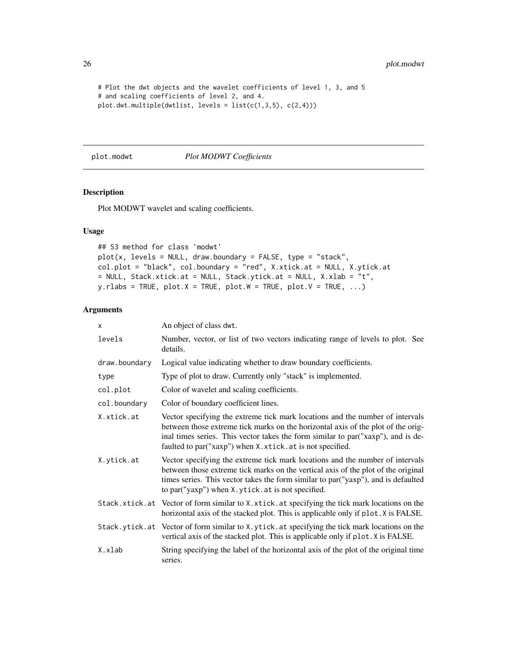<span id="page-25-0"></span>26 plot.modwt

```
# Plot the dwt objects and the wavelet coefficients of level 1, 3, and 5
# and scaling coefficients of level 2, and 4.
plot.dwt.multiple(dwtlist, levels = list(c(1,3,5), c(2,4)))
```
#### <span id="page-25-1"></span>plot.modwt *Plot MODWT Coefficients*

# Description

Plot MODWT wavelet and scaling coefficients.

# Usage

```
## S3 method for class 'modwt'
plot(x, levels = NULL, draw.boundary = FALSE, type = "stack",col.plot = "black", col.boundary = "red", X.xtick.at = NULL, X.ytick.at
= NULL, Stack.xtick.at = NULL, Stack.ytick.at = NULL, X.xlab = "t",
y.rlabs = TRUE, plot.X = TRUE, plot.W = TRUE, plot.V = TRUE, ...)
```

| X             | An object of class dwt.                                                                                                                                                                                                                                                                                            |
|---------------|--------------------------------------------------------------------------------------------------------------------------------------------------------------------------------------------------------------------------------------------------------------------------------------------------------------------|
| levels        | Number, vector, or list of two vectors indicating range of levels to plot. See<br>details.                                                                                                                                                                                                                         |
| draw.boundary | Logical value indicating whether to draw boundary coefficients.                                                                                                                                                                                                                                                    |
| type          | Type of plot to draw. Currently only "stack" is implemented.                                                                                                                                                                                                                                                       |
| col.plot      | Color of wavelet and scaling coefficients.                                                                                                                                                                                                                                                                         |
| col.boundary  | Color of boundary coefficient lines.                                                                                                                                                                                                                                                                               |
| X.xtick.at    | Vector specifying the extreme tick mark locations and the number of intervals<br>between those extreme tick marks on the horizontal axis of the plot of the orig-<br>inal times series. This vector takes the form similar to par ("xaxp"), and is de-<br>faulted to par("xaxp") when X.xtick.at is not specified. |
| X.ytick.at    | Vector specifying the extreme tick mark locations and the number of intervals<br>between those extreme tick marks on the vertical axis of the plot of the original<br>times series. This vector takes the form similar to par ("yaxp"), and is defaulted<br>to par("yaxp") when X.ytick.at is not specified.       |
|               | Stack.xtick.at Vector of form similar to X.xtick.at specifying the tick mark locations on the<br>horizontal axis of the stacked plot. This is applicable only if plot. X is FALSE.                                                                                                                                 |
|               | Stack.ytick.at Vector of form similar to X.ytick.at specifying the tick mark locations on the<br>vertical axis of the stacked plot. This is applicable only if plot. X is FALSE.                                                                                                                                   |
| X.xlab        | String specifying the label of the horizontal axis of the plot of the original time<br>series.                                                                                                                                                                                                                     |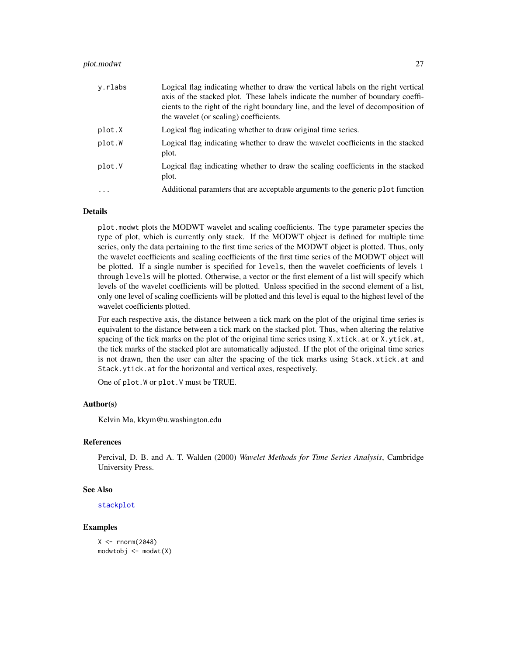#### <span id="page-26-0"></span>plot.modwt 27

| y.rlabs    | Logical flag indicating whether to draw the vertical labels on the right vertical<br>axis of the stacked plot. These labels indicate the number of boundary coeffi-<br>cients to the right of the right boundary line, and the level of decomposition of<br>the wavelet (or scaling) coefficients. |
|------------|----------------------------------------------------------------------------------------------------------------------------------------------------------------------------------------------------------------------------------------------------------------------------------------------------|
| plot.X     | Logical flag indicating whether to draw original time series.                                                                                                                                                                                                                                      |
| plot.W     | Logical flag indicating whether to draw the wavelet coefficients in the stacked<br>plot.                                                                                                                                                                                                           |
| plot.V     | Logical flag indicating whether to draw the scaling coefficients in the stacked<br>plot.                                                                                                                                                                                                           |
| $\ddots$ . | Additional parameters that are acceptable arguments to the generic plot function                                                                                                                                                                                                                   |

# Details

plot.modwt plots the MODWT wavelet and scaling coefficients. The type parameter species the type of plot, which is currently only stack. If the MODWT object is defined for multiple time series, only the data pertaining to the first time series of the MODWT object is plotted. Thus, only the wavelet coefficients and scaling coefficients of the first time series of the MODWT object will be plotted. If a single number is specified for levels, then the wavelet coefficients of levels 1 through levels will be plotted. Otherwise, a vector or the first element of a list will specify which levels of the wavelet coefficients will be plotted. Unless specified in the second element of a list, only one level of scaling coefficients will be plotted and this level is equal to the highest level of the wavelet coefficients plotted.

For each respective axis, the distance between a tick mark on the plot of the original time series is equivalent to the distance between a tick mark on the stacked plot. Thus, when altering the relative spacing of the tick marks on the plot of the original time series using X.xtick.at or X.ytick.at, the tick marks of the stacked plot are automatically adjusted. If the plot of the original time series is not drawn, then the user can alter the spacing of the tick marks using Stack.xtick.at and Stack.ytick.at for the horizontal and vertical axes, respectively.

One of plot.W or plot.V must be TRUE.

# Author(s)

Kelvin Ma, kkym@u.washington.edu

# References

Percival, D. B. and A. T. Walden (2000) *Wavelet Methods for Time Series Analysis*, Cambridge University Press.

# See Also

[stackplot](#page-29-1)

# Examples

```
X < - rnorm(2048)modw \t{t} <- modw \t(X)
```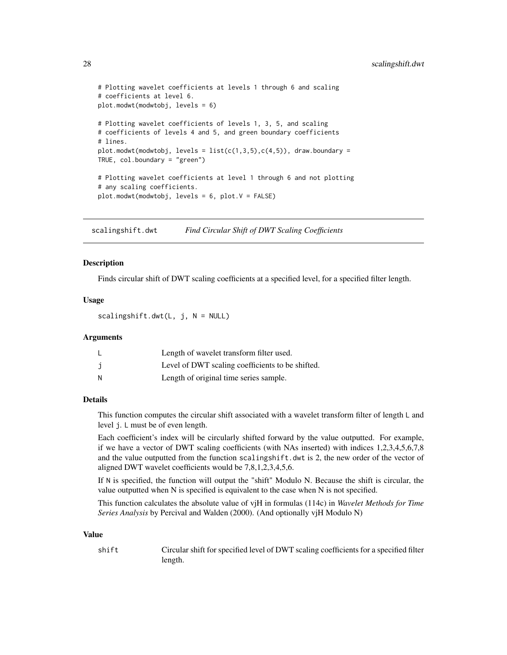```
# Plotting wavelet coefficients at levels 1 through 6 and scaling
# coefficients at level 6.
plot.modwt(modwtobj, levels = 6)
# Plotting wavelet coefficients of levels 1, 3, 5, and scaling
# coefficients of levels 4 and 5, and green boundary coefficients
# lines.
plot.modwt(modwtobj, levels = list(c(1,3,5), c(4,5)), draw.boundary =TRUE, col.boundary = "green")
# Plotting wavelet coefficients at level 1 through 6 and not plotting
# any scaling coefficients.
plot.modwt(modwtobj, levels = 6, plot.V = FALSE)
```
<span id="page-27-1"></span>scalingshift.dwt *Find Circular Shift of DWT Scaling Coefficients*

## Description

Finds circular shift of DWT scaling coefficients at a specified level, for a specified filter length.

# Usage

scalingshift.dwt(L, j, N = NULL)

#### Arguments

| ∟ | Length of wavelet transform filter used.         |
|---|--------------------------------------------------|
|   | Level of DWT scaling coefficients to be shifted. |
| N | Length of original time series sample.           |

# Details

This function computes the circular shift associated with a wavelet transform filter of length L and level j. L must be of even length.

Each coefficient's index will be circularly shifted forward by the value outputted. For example, if we have a vector of DWT scaling coefficients (with NAs inserted) with indices 1,2,3,4,5,6,7,8 and the value outputted from the function scalingshift.dwt is 2, the new order of the vector of aligned DWT wavelet coefficients would be 7,8,1,2,3,4,5,6.

If N is specified, the function will output the "shift" Modulo N. Because the shift is circular, the value outputted when N is specified is equivalent to the case when N is not specified.

This function calculates the absolute value of vjH in formulas (114c) in *Wavelet Methods for Time Series Analysis* by Percival and Walden (2000). (And optionally vjH Modulo N)

#### Value

shift Circular shift for specified level of DWT scaling coefficients for a specified filter length.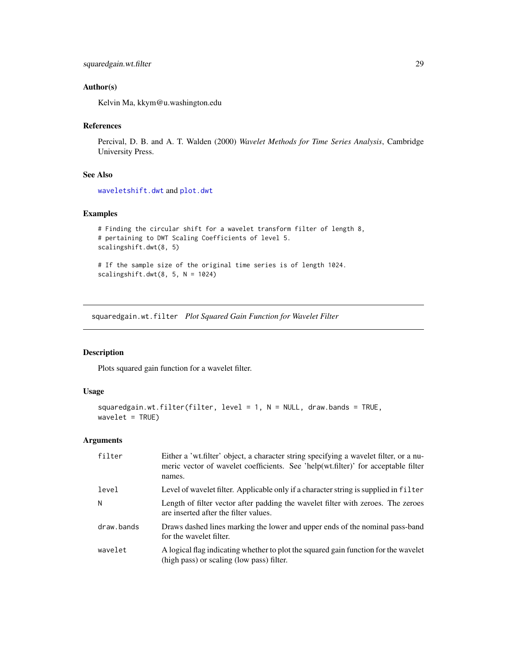# <span id="page-28-0"></span>Author(s)

Kelvin Ma, kkym@u.washington.edu

# References

Percival, D. B. and A. T. Walden (2000) *Wavelet Methods for Time Series Analysis*, Cambridge University Press.

#### See Also

[waveletshift.dwt](#page-32-1) and [plot.dwt](#page-21-1)

# Examples

```
# Finding the circular shift for a wavelet transform filter of length 8,
# pertaining to DWT Scaling Coefficients of level 5.
scalingshift.dwt(8, 5)
# If the sample size of the original time series is of length 1024.
```

```
scalingshift.dwt(8, 5, N = 1024)
```
squaredgain.wt.filter *Plot Squared Gain Function for Wavelet Filter*

# Description

Plots squared gain function for a wavelet filter.

# Usage

```
squaredgain.wt.filter(filter, level = 1, N = NULL, draw.bands = TRUE,
wavelet = TRUE)
```

| filter     | Either a 'wt.filter' object, a character string specifying a wavelet filter, or a nu-<br>meric vector of wavelet coefficients. See 'help(wt.filter)' for acceptable filter<br>names. |
|------------|--------------------------------------------------------------------------------------------------------------------------------------------------------------------------------------|
| level      | Level of wavelet filter. Applicable only if a character string is supplied in filter                                                                                                 |
| N          | Length of filter vector after padding the wavelet filter with zeroes. The zeroes<br>are inserted after the filter values.                                                            |
| draw.bands | Draws dashed lines marking the lower and upper ends of the nominal pass-band<br>for the wavelet filter.                                                                              |
| wavelet    | A logical flag indicating whether to plot the squared gain function for the wavelet<br>(high pass) or scaling (low pass) filter.                                                     |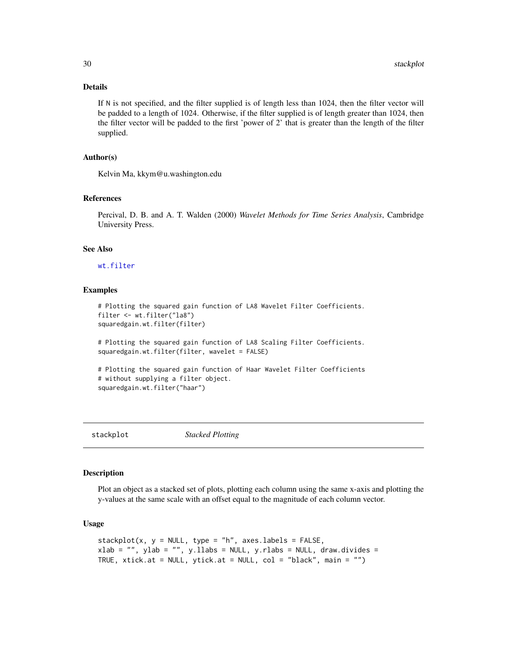# Details

If N is not specified, and the filter supplied is of length less than 1024, then the filter vector will be padded to a length of 1024. Otherwise, if the filter supplied is of length greater than 1024, then the filter vector will be padded to the first 'power of 2' that is greater than the length of the filter supplied.

# Author(s)

Kelvin Ma, kkym@u.washington.edu

#### References

Percival, D. B. and A. T. Walden (2000) *Wavelet Methods for Time Series Analysis*, Cambridge University Press.

#### See Also

#### [wt.filter](#page-33-1)

# Examples

```
# Plotting the squared gain function of LA8 Wavelet Filter Coefficients.
filter <- wt.filter("la8")
squaredgain.wt.filter(filter)
# Plotting the squared gain function of LA8 Scaling Filter Coefficients.
squaredgain.wt.filter(filter, wavelet = FALSE)
# Plotting the squared gain function of Haar Wavelet Filter Coefficients
# without supplying a filter object.
squaredgain.wt.filter("haar")
```
<span id="page-29-1"></span>

stackplot *Stacked Plotting*

# Description

Plot an object as a stacked set of plots, plotting each column using the same x-axis and plotting the y-values at the same scale with an offset equal to the magnitude of each column vector.

### Usage

```
stackplot(x, y = NULL, type = "h", axes.labels = FALSE,
xlab = "", ylab = "", yllabs = NULL, yrlabs = NULL, draw.divides =TRUE, xtick.at = NULL, ytick.at = NULL, col = "black", main = "")
```
<span id="page-29-0"></span>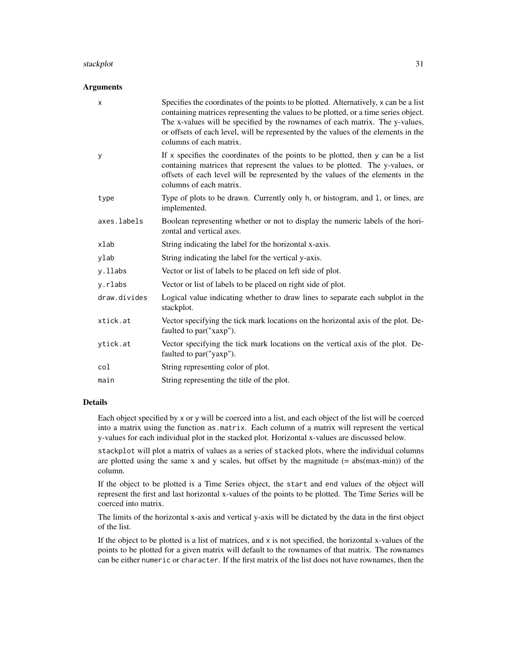#### stackplot 31

#### **Arguments**

| x            | Specifies the coordinates of the points to be plotted. Alternatively, x can be a list<br>containing matrices representing the values to be plotted, or a time series object.<br>The x-values will be specified by the rownames of each matrix. The y-values,<br>or offsets of each level, will be represented by the values of the elements in the<br>columns of each matrix. |
|--------------|-------------------------------------------------------------------------------------------------------------------------------------------------------------------------------------------------------------------------------------------------------------------------------------------------------------------------------------------------------------------------------|
| У            | If x specifies the coordinates of the points to be plotted, then y can be a list<br>containing matrices that represent the values to be plotted. The y-values, or<br>offsets of each level will be represented by the values of the elements in the<br>columns of each matrix.                                                                                                |
| type         | Type of plots to be drawn. Currently only h, or histogram, and 1, or lines, are<br>implemented.                                                                                                                                                                                                                                                                               |
| axes.labels  | Boolean representing whether or not to display the numeric labels of the hori-<br>zontal and vertical axes.                                                                                                                                                                                                                                                                   |
| xlab         | String indicating the label for the horizontal x-axis.                                                                                                                                                                                                                                                                                                                        |
| ylab         | String indicating the label for the vertical y-axis.                                                                                                                                                                                                                                                                                                                          |
| y.llabs      | Vector or list of labels to be placed on left side of plot.                                                                                                                                                                                                                                                                                                                   |
| y.rlabs      | Vector or list of labels to be placed on right side of plot.                                                                                                                                                                                                                                                                                                                  |
| draw.divides | Logical value indicating whether to draw lines to separate each subplot in the<br>stackplot.                                                                                                                                                                                                                                                                                  |
| xtick.at     | Vector specifying the tick mark locations on the horizontal axis of the plot. De-<br>faulted to par ("xaxp").                                                                                                                                                                                                                                                                 |
| ytick.at     | Vector specifying the tick mark locations on the vertical axis of the plot. De-<br>faulted to par("yaxp").                                                                                                                                                                                                                                                                    |
| col          | String representing color of plot.                                                                                                                                                                                                                                                                                                                                            |
| main         | String representing the title of the plot.                                                                                                                                                                                                                                                                                                                                    |

# Details

Each object specified by x or y will be coerced into a list, and each object of the list will be coerced into a matrix using the function as.matrix. Each column of a matrix will represent the vertical y-values for each individual plot in the stacked plot. Horizontal x-values are discussed below.

stackplot will plot a matrix of values as a series of stacked plots, where the individual columns are plotted using the same x and y scales, but offset by the magnitude  $(= abs(max-min))$  of the column.

If the object to be plotted is a Time Series object, the start and end values of the object will represent the first and last horizontal x-values of the points to be plotted. The Time Series will be coerced into matrix.

The limits of the horizontal x-axis and vertical y-axis will be dictated by the data in the first object of the list.

If the object to be plotted is a list of matrices, and x is not specified, the horizontal x-values of the points to be plotted for a given matrix will default to the rownames of that matrix. The rownames can be either numeric or character. If the first matrix of the list does not have rownames, then the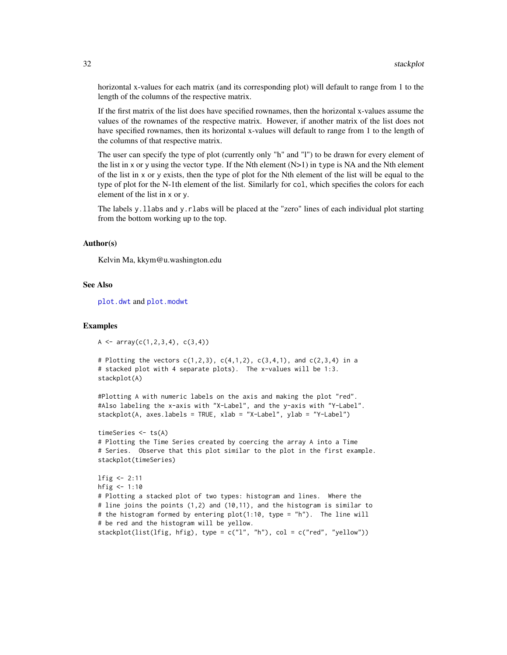horizontal x-values for each matrix (and its corresponding plot) will default to range from 1 to the length of the columns of the respective matrix.

If the first matrix of the list does have specified rownames, then the horizontal x-values assume the values of the rownames of the respective matrix. However, if another matrix of the list does not have specified rownames, then its horizontal x-values will default to range from 1 to the length of the columns of that respective matrix.

The user can specify the type of plot (currently only "h" and "l") to be drawn for every element of the list in x or y using the vector type. If the Nth element  $(N>1)$  in type is NA and the Nth element of the list in x or y exists, then the type of plot for the Nth element of the list will be equal to the type of plot for the N-1th element of the list. Similarly for col, which specifies the colors for each element of the list in x or y.

The labels y.llabs and y.rlabs will be placed at the "zero" lines of each individual plot starting from the bottom working up to the top.

#### Author(s)

Kelvin Ma, kkym@u.washington.edu

# See Also

[plot.dwt](#page-21-1) and [plot.modwt](#page-25-1)

#### Examples

```
A <- array(c(1,2,3,4), c(3,4))
```

```
# Plotting the vectors c(1,2,3), c(4,1,2), c(3,4,1), and c(2,3,4) in a
# stacked plot with 4 separate plots). The x-values will be 1:3.
stackplot(A)
```
#Plotting A with numeric labels on the axis and making the plot "red". #Also labeling the x-axis with "X-Label", and the y-axis with "Y-Label". stackplot(A, axes.labels = TRUE, xlab = "X-Label", ylab = "Y-Label")

```
timeSeries <- ts(A)
# Plotting the Time Series created by coercing the array A into a Time
# Series. Observe that this plot similar to the plot in the first example.
stackplot(timeSeries)
```

```
lfig <- 2:11
hfig <-1:10# Plotting a stacked plot of two types: histogram and lines. Where the
# line joins the points (1,2) and (10,11), and the histogram is similar to
# the histogram formed by entering plot(1:10, type = "h"). The line will
# be red and the histogram will be yellow.
stackplot(list(lfig, hfig), type = c("l", "h"), col = c("red", "yellow"))
```
<span id="page-31-0"></span>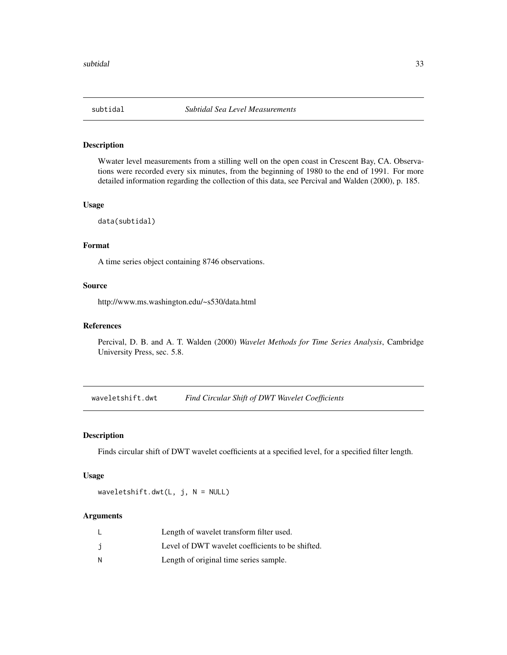<span id="page-32-0"></span>

# Description

Wwater level measurements from a stilling well on the open coast in Crescent Bay, CA. Observations were recorded every six minutes, from the beginning of 1980 to the end of 1991. For more detailed information regarding the collection of this data, see Percival and Walden (2000), p. 185.

#### Usage

data(subtidal)

# Format

A time series object containing 8746 observations.

# Source

http://www.ms.washington.edu/~s530/data.html

#### References

Percival, D. B. and A. T. Walden (2000) *Wavelet Methods for Time Series Analysis*, Cambridge University Press, sec. 5.8.

<span id="page-32-1"></span>waveletshift.dwt *Find Circular Shift of DWT Wavelet Coefficients*

#### Description

Finds circular shift of DWT wavelet coefficients at a specified level, for a specified filter length.

# Usage

waveletshift.dwt( $L$ , j,  $N = NULL$ )

|   | Length of wavelet transform filter used.         |
|---|--------------------------------------------------|
|   | Level of DWT wavelet coefficients to be shifted. |
| и | Length of original time series sample.           |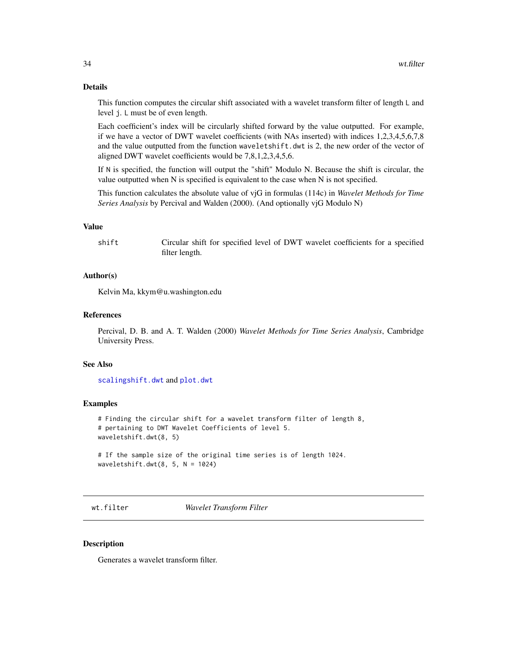# <span id="page-33-0"></span>Details

This function computes the circular shift associated with a wavelet transform filter of length L and level j. L must be of even length.

Each coefficient's index will be circularly shifted forward by the value outputted. For example, if we have a vector of DWT wavelet coefficients (with NAs inserted) with indices 1,2,3,4,5,6,7,8 and the value outputted from the function waveletshift.dwt is 2, the new order of the vector of aligned DWT wavelet coefficients would be 7,8,1,2,3,4,5,6.

If N is specified, the function will output the "shift" Modulo N. Because the shift is circular, the value outputted when N is specified is equivalent to the case when N is not specified.

This function calculates the absolute value of vjG in formulas (114c) in *Wavelet Methods for Time Series Analysis* by Percival and Walden (2000). (And optionally vjG Modulo N)

#### Value

shift Circular shift for specified level of DWT wavelet coefficients for a specified filter length.

#### Author(s)

Kelvin Ma, kkym@u.washington.edu

# References

Percival, D. B. and A. T. Walden (2000) *Wavelet Methods for Time Series Analysis*, Cambridge University Press.

# See Also

[scalingshift.dwt](#page-27-1) and [plot.dwt](#page-21-1)

#### Examples

# Finding the circular shift for a wavelet transform filter of length 8, # pertaining to DWT Wavelet Coefficients of level 5. waveletshift.dwt(8, 5)

# If the sample size of the original time series is of length 1024. waveletshift.dwt $(8, 5, N = 1024)$ 

<span id="page-33-1"></span>wt.filter *Wavelet Transform Filter*

#### **Description**

Generates a wavelet transform filter.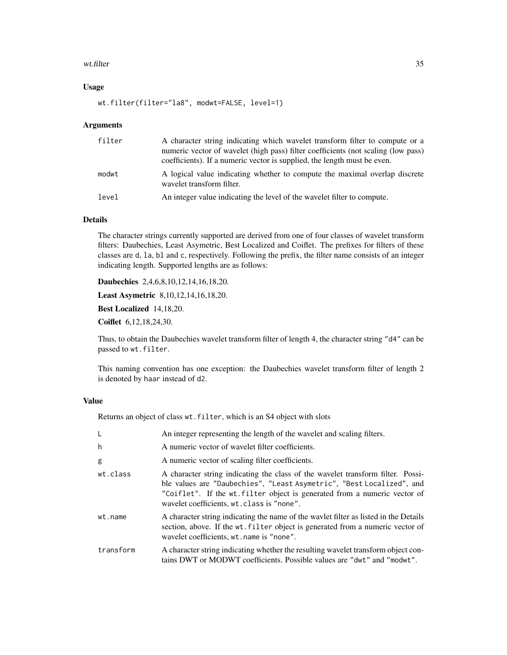#### wt.filter 35

# Usage

wt.filter(filter="la8", modwt=FALSE, level=1)

#### Arguments

| filter | A character string indicating which wavelet transform filter to compute or a<br>numeric vector of wavelet (high pass) filter coefficients (not scaling (low pass)<br>coefficients). If a numeric vector is supplied, the length must be even. |
|--------|-----------------------------------------------------------------------------------------------------------------------------------------------------------------------------------------------------------------------------------------------|
| modwt  | A logical value indicating whether to compute the maximal overlap discrete<br>wavelet transform filter.                                                                                                                                       |
| level  | An integer value indicating the level of the wavelet filter to compute.                                                                                                                                                                       |

# Details

The character strings currently supported are derived from one of four classes of wavelet transform filters: Daubechies, Least Asymetric, Best Localized and Coiflet. The prefixes for filters of these classes are d, la, bl and c, respectively. Following the prefix, the filter name consists of an integer indicating length. Supported lengths are as follows:

Daubechies 2,4,6,8,10,12,14,16,18,20.

Least Asymetric 8,10,12,14,16,18,20.

Best Localized 14,18,20.

Coiflet 6,12,18,24,30.

Thus, to obtain the Daubechies wavelet transform filter of length 4, the character string "d4" can be passed to wt.filter.

This naming convention has one exception: the Daubechies wavelet transform filter of length 2 is denoted by haar instead of d2.

# Value

Returns an object of class wt.filter, which is an S4 object with slots

| L         | An integer representing the length of the wavelet and scaling filters.                                                                                                                                                                                                            |
|-----------|-----------------------------------------------------------------------------------------------------------------------------------------------------------------------------------------------------------------------------------------------------------------------------------|
| h         | A numeric vector of wavelet filter coefficients.                                                                                                                                                                                                                                  |
| g         | A numeric vector of scaling filter coefficients.                                                                                                                                                                                                                                  |
| wt.class  | A character string indicating the class of the wavelet transform filter. Possi-<br>ble values are "Daubechies", "Least Asymetric", "Best Localized", and<br>"Coiflet". If the wt.filter object is generated from a numeric vector of<br>wavelet coefficients, wt.class is "none". |
| wt.name   | A character string indicating the name of the wavlet filter as listed in the Details<br>section, above. If the wt. filter object is generated from a numeric vector of<br>wavelet coefficients, wt. name is "none".                                                               |
| transform | A character string indicating whether the resulting wavelet transform object con-<br>tains DWT or MODWT coefficients. Possible values are "dwt" and "modwt".                                                                                                                      |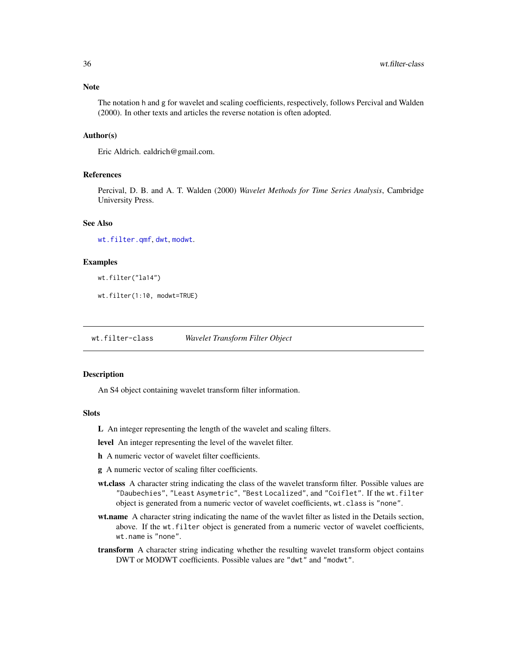# <span id="page-35-0"></span>**Note**

The notation h and g for wavelet and scaling coefficients, respectively, follows Percival and Walden (2000). In other texts and articles the reverse notation is often adopted.

# Author(s)

Eric Aldrich. ealdrich@gmail.com.

#### References

Percival, D. B. and A. T. Walden (2000) *Wavelet Methods for Time Series Analysis*, Cambridge University Press.

# See Also

[wt.filter.qmf](#page-37-1), [dwt](#page-2-1), [modwt](#page-14-1).

# Examples

wt.filter("la14")

wt.filter(1:10, modwt=TRUE)

wt.filter-class *Wavelet Transform Filter Object*

#### Description

An S4 object containing wavelet transform filter information.

#### **Slots**

L An integer representing the length of the wavelet and scaling filters.

level An integer representing the level of the wavelet filter.

- h A numeric vector of wavelet filter coefficients.
- g A numeric vector of scaling filter coefficients.
- wt.class A character string indicating the class of the wavelet transform filter. Possible values are "Daubechies", "Least Asymetric", "Best Localized", and "Coiflet". If the wt.filter object is generated from a numeric vector of wavelet coefficients, wt.class is "none".
- wt.name A character string indicating the name of the wavlet filter as listed in the Details section, above. If the wt.filter object is generated from a numeric vector of wavelet coefficients, wt.name is "none".
- transform A character string indicating whether the resulting wavelet transform object contains DWT or MODWT coefficients. Possible values are "dwt" and "modwt".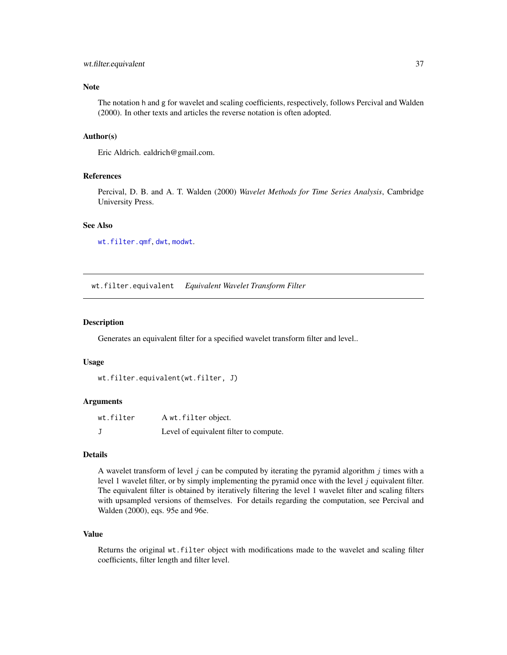# <span id="page-36-0"></span>wt.filter.equivalent 37

# Note

The notation h and g for wavelet and scaling coefficients, respectively, follows Percival and Walden (2000). In other texts and articles the reverse notation is often adopted.

# Author(s)

Eric Aldrich. ealdrich@gmail.com.

### References

Percival, D. B. and A. T. Walden (2000) *Wavelet Methods for Time Series Analysis*, Cambridge University Press.

# See Also

[wt.filter.qmf](#page-37-1), [dwt](#page-2-1), [modwt](#page-14-1).

wt.filter.equivalent *Equivalent Wavelet Transform Filter*

# Description

Generates an equivalent filter for a specified wavelet transform filter and level..

#### Usage

```
wt.filter.equivalent(wt.filter, J)
```
#### Arguments

| wt.filter | A wt.filter object.                    |
|-----------|----------------------------------------|
|           | Level of equivalent filter to compute. |

# Details

A wavelet transform of level  $j$  can be computed by iterating the pyramid algorithm  $j$  times with a level 1 wavelet filter, or by simply implementing the pyramid once with the level  $j$  equivalent filter. The equivalent filter is obtained by iteratively filtering the level 1 wavelet filter and scaling filters with upsampled versions of themselves. For details regarding the computation, see Percival and Walden (2000), eqs. 95e and 96e.

# Value

Returns the original wt.filter object with modifications made to the wavelet and scaling filter coefficients, filter length and filter level.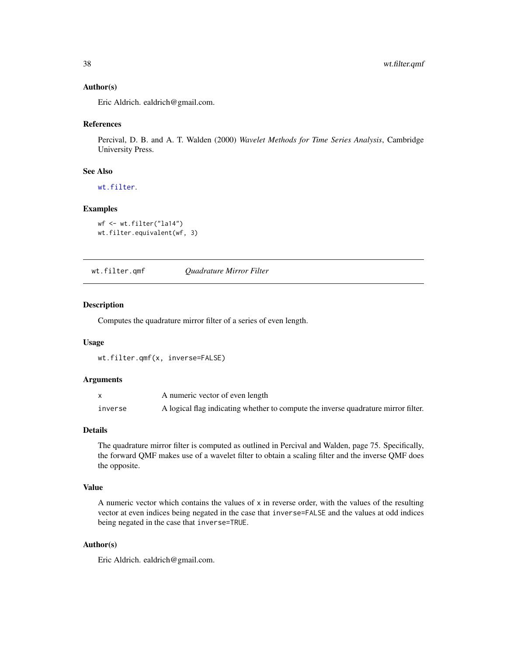# <span id="page-37-0"></span>Author(s)

Eric Aldrich. ealdrich@gmail.com.

#### References

Percival, D. B. and A. T. Walden (2000) *Wavelet Methods for Time Series Analysis*, Cambridge University Press.

#### See Also

[wt.filter](#page-33-1).

# Examples

```
wf <- wt.filter("la14")
wt.filter.equivalent(wf, 3)
```
<span id="page-37-1"></span>wt.filter.qmf *Quadrature Mirror Filter*

# Description

Computes the quadrature mirror filter of a series of even length.

#### Usage

wt.filter.qmf(x, inverse=FALSE)

#### Arguments

|         | A numeric vector of even length                                                    |
|---------|------------------------------------------------------------------------------------|
| inverse | A logical flag indicating whether to compute the inverse quadrature mirror filter. |

#### Details

The quadrature mirror filter is computed as outlined in Percival and Walden, page 75. Specifically, the forward QMF makes use of a wavelet filter to obtain a scaling filter and the inverse QMF does the opposite.

# Value

A numeric vector which contains the values of x in reverse order, with the values of the resulting vector at even indices being negated in the case that inverse=FALSE and the values at odd indices being negated in the case that inverse=TRUE.

# Author(s)

Eric Aldrich. ealdrich@gmail.com.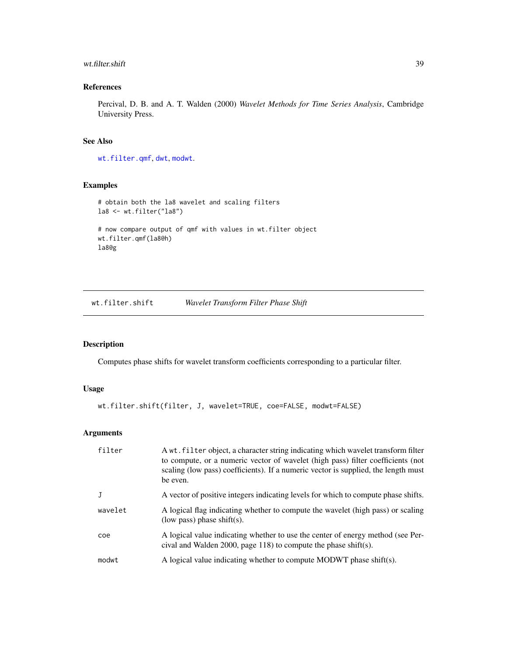#### <span id="page-38-0"></span>wt.filter.shift 39

# References

Percival, D. B. and A. T. Walden (2000) *Wavelet Methods for Time Series Analysis*, Cambridge University Press.

# See Also

[wt.filter.qmf](#page-37-1), [dwt](#page-2-1), [modwt](#page-14-1).

#### Examples

```
# obtain both the la8 wavelet and scaling filters
la8 <- wt.filter("la8")
# now compare output of qmf with values in wt.filter object
wt.filter.qmf(la8@h)
la8@g
```
<span id="page-38-1"></span>wt.filter.shift *Wavelet Transform Filter Phase Shift*

# Description

Computes phase shifts for wavelet transform coefficients corresponding to a particular filter.

# Usage

```
wt.filter.shift(filter, J, wavelet=TRUE, coe=FALSE, modwt=FALSE)
```

| filter  | A wt. filter object, a character string indicating which wavelet transform filter<br>to compute, or a numeric vector of wavelet (high pass) filter coefficients (not<br>scaling (low pass) coefficients). If a numeric vector is supplied, the length must<br>be even. |
|---------|------------------------------------------------------------------------------------------------------------------------------------------------------------------------------------------------------------------------------------------------------------------------|
| J       | A vector of positive integers indicating levels for which to compute phase shifts.                                                                                                                                                                                     |
| wavelet | A logical flag indicating whether to compute the wavelet (high pass) or scaling<br>(low pass) phase shift(s).                                                                                                                                                          |
| coe     | A logical value indicating whether to use the center of energy method (see Per-<br>cival and Walden 2000, page 118) to compute the phase shift(s).                                                                                                                     |
| modwt   | A logical value indicating whether to compute MODWT phase shift(s).                                                                                                                                                                                                    |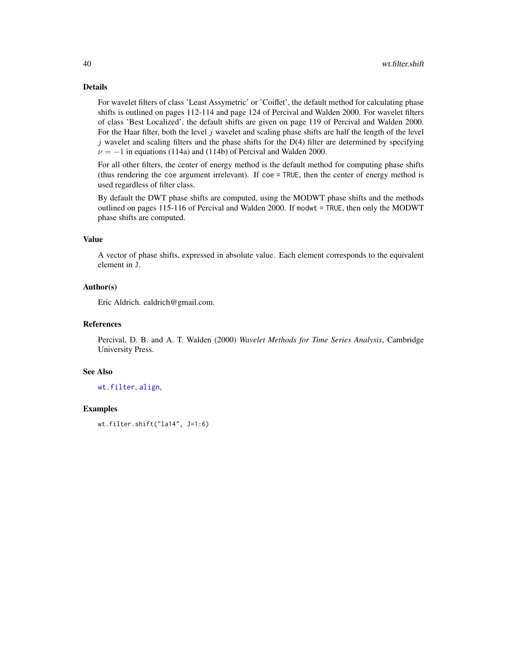# Details

For wavelet filters of class 'Least Assymetric' or 'Coiflet', the default method for calculating phase shifts is outlined on pages 112-114 and page 124 of Percival and Walden 2000. For wavelet filters of class 'Best Localized', the default shifts are given on page 119 of Percival and Walden 2000. For the Haar filter, both the level  $j$  wavelet and scaling phase shifts are half the length of the level  $j$  wavelet and scaling filters and the phase shifts for the D(4) filter are determined by specifying  $\nu = -1$  in equations (114a) and (114b) of Percival and Walden 2000.

For all other filters, the center of energy method is the default method for computing phase shifts (thus rendering the coe argument irrelevant). If coe = TRUE, then the center of energy method is used regardless of filter class.

By default the DWT phase shifts are computed, using the MODWT phase shifts and the methods outlined on pages 115-116 of Percival and Walden 2000. If modwt = TRUE, then only the MODWT phase shifts are computed.

#### Value

A vector of phase shifts, expressed in absolute value. Each element corresponds to the equivalent element in J.

# Author(s)

Eric Aldrich. ealdrich@gmail.com.

# References

Percival, D. B. and A. T. Walden (2000) *Wavelet Methods for Time Series Analysis*, Cambridge University Press.

#### See Also

[wt.filter](#page-33-1), [align](#page-1-1),

# Examples

wt.filter.shift("la14", J=1:6)

<span id="page-39-0"></span>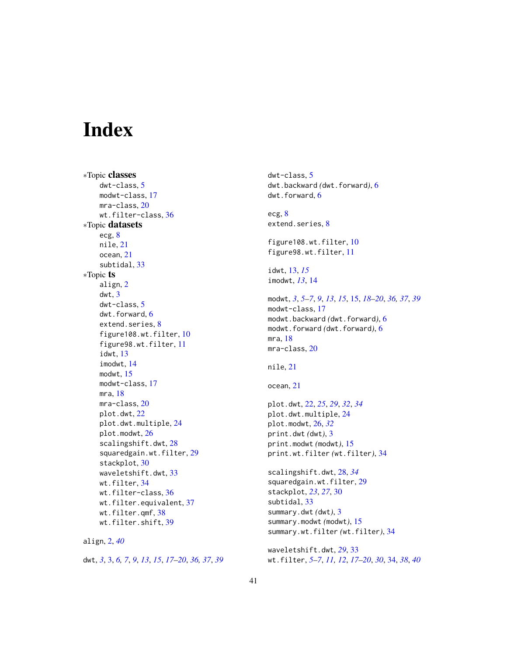# <span id="page-40-0"></span>Index

∗Topic classes dwt-class, [5](#page-4-0) modwt-class, [17](#page-16-0) mra-class, [20](#page-19-0) wt.filter-class, [36](#page-35-0) ∗Topic datasets ecg, [8](#page-7-0) nile, [21](#page-20-0) ocean, [21](#page-20-0) subtidal, [33](#page-32-0) ∗Topic ts align, [2](#page-1-0) dwt, [3](#page-2-0) dwt-class, [5](#page-4-0) dwt.forward, [6](#page-5-0) extend.series, [8](#page-7-0) figure108.wt.filter, [10](#page-9-0) figure98.wt.filter, [11](#page-10-0) idwt, [13](#page-12-0) imodwt, [14](#page-13-0) modwt, [15](#page-14-0) modwt-class, [17](#page-16-0) mra, [18](#page-17-0) mra-class, [20](#page-19-0) plot.dwt, [22](#page-21-0) plot.dwt.multiple, [24](#page-23-0) plot.modwt, [26](#page-25-0) scalingshift.dwt, [28](#page-27-0) squaredgain.wt.filter, [29](#page-28-0) stackplot, [30](#page-29-0) waveletshift.dwt, [33](#page-32-0) wt.filter, [34](#page-33-0) wt.filter-class, [36](#page-35-0) wt.filter.equivalent, [37](#page-36-0) wt.filter.qmf, [38](#page-37-0) wt.filter.shift, [39](#page-38-0)

align, [2,](#page-1-0) *[40](#page-39-0)* dwt, *[3](#page-2-0)*, [3,](#page-2-0) *[6,](#page-5-0) [7](#page-6-0)*, *[9](#page-8-0)*, *[13](#page-12-0)*, *[15](#page-14-0)*, *[17–](#page-16-0)[20](#page-19-0)*, *[36,](#page-35-0) [37](#page-36-0)*, *[39](#page-38-0)* dwt-class, [5](#page-4-0) dwt.backward *(*dwt.forward*)*, [6](#page-5-0) dwt.forward, [6](#page-5-0) ecg, [8](#page-7-0) extend.series, [8](#page-7-0) figure108.wt.filter, [10](#page-9-0) figure98.wt.filter, [11](#page-10-0) idwt, [13,](#page-12-0) *[15](#page-14-0)* imodwt, *[13](#page-12-0)*, [14](#page-13-0) modwt, *[3](#page-2-0)*, *[5](#page-4-0)[–7](#page-6-0)*, *[9](#page-8-0)*, *[13](#page-12-0)*, *[15](#page-14-0)*, [15,](#page-14-0) *[18](#page-17-0)[–20](#page-19-0)*, *[36,](#page-35-0) [37](#page-36-0)*, *[39](#page-38-0)* modwt-class, [17](#page-16-0) modwt.backward *(*dwt.forward*)*, [6](#page-5-0) modwt.forward *(*dwt.forward*)*, [6](#page-5-0) mra, [18](#page-17-0) mra-class, [20](#page-19-0) nile, [21](#page-20-0) ocean, [21](#page-20-0) plot.dwt, [22,](#page-21-0) *[25](#page-24-0)*, *[29](#page-28-0)*, *[32](#page-31-0)*, *[34](#page-33-0)* plot.dwt.multiple, [24](#page-23-0) plot.modwt, [26,](#page-25-0) *[32](#page-31-0)* print.dwt *(*dwt*)*, [3](#page-2-0) print.modwt *(*modwt*)*, [15](#page-14-0) print.wt.filter *(*wt.filter*)*, [34](#page-33-0) scalingshift.dwt, [28,](#page-27-0) *[34](#page-33-0)* squaredgain.wt.filter, [29](#page-28-0) stackplot, *[23](#page-22-0)*, *[27](#page-26-0)*, [30](#page-29-0) subtidal, [33](#page-32-0) summary.dwt *(*dwt*)*, [3](#page-2-0) summary.modwt *(*modwt*)*, [15](#page-14-0) summary.wt.filter *(*wt.filter*)*, [34](#page-33-0) waveletshift.dwt, *[29](#page-28-0)*, [33](#page-32-0) wt.filter, *[5](#page-4-0)[–7](#page-6-0)*, *[11,](#page-10-0) [12](#page-11-0)*, *[17](#page-16-0)[–20](#page-19-0)*, *[30](#page-29-0)*, [34,](#page-33-0) *[38](#page-37-0)*, *[40](#page-39-0)*